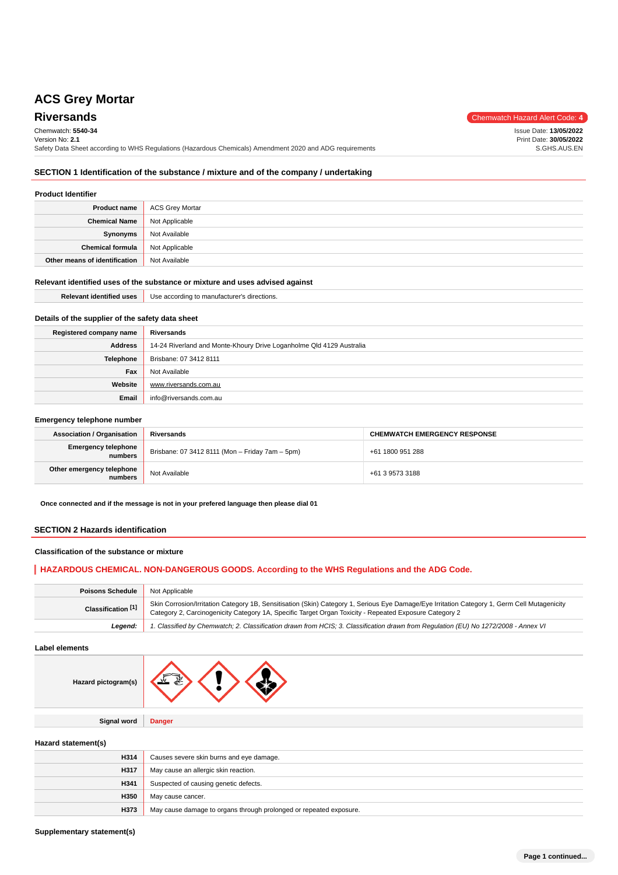# Chemwatch: **5540-34**

Version No: **2.1**

**Riversands** Chemwatch Hazard Alert Code: 4

Issue Date: **13/05/2022** Print Date: **30/05/2022** S.GHS.AUS.EN

**SECTION 1 Identification of the substance / mixture and of the company / undertaking**

Safety Data Sheet according to WHS Regulations (Hazardous Chemicals) Amendment 2020 and ADG requirements

## **Product Identifier**

| <b>Product name</b>           | <b>ACS Grey Mortar</b> |
|-------------------------------|------------------------|
| <b>Chemical Name</b>          | Not Applicable         |
| Synonyms                      | Not Available          |
| <b>Chemical formula</b>       | Not Applicable         |
| Other means of identification | Not Available          |

#### **Relevant identified uses of the substance or mixture and uses advised against**

**Email** info@riversands.com.au

| <b>Relevant identified uses</b>                  | Use according to manufacturer's directions.                          |
|--------------------------------------------------|----------------------------------------------------------------------|
|                                                  |                                                                      |
| Details of the supplier of the safety data sheet |                                                                      |
| Registered company name                          | Riversands                                                           |
| <b>Address</b>                                   | 14-24 Riverland and Monte-Khoury Drive Loganholme Qld 4129 Australia |
| Telephone                                        | Brisbane: 07 3412 8111                                               |
| Fax                                              | Not Available                                                        |
| Website                                          | www.riversands.com.au                                                |

#### **Emergency telephone number**

| <b>Association / Organisation</b>     | Riversands                                      | <b>CHEMWATCH EMERGENCY RESPONSE</b> |
|---------------------------------------|-------------------------------------------------|-------------------------------------|
| <b>Emergency telephone</b><br>numbers | Brisbane: 07 3412 8111 (Mon - Friday 7am - 5pm) | +61 1800 951 288                    |
| Other emergency telephone<br>numbers  | Not Available                                   | +61 3 9573 3188                     |

**Once connected and if the message is not in your prefered language then please dial 01**

#### **SECTION 2 Hazards identification**

#### **Classification of the substance or mixture**

## **HAZARDOUS CHEMICAL. NON-DANGEROUS GOODS. According to the WHS Regulations and the ADG Code.**

| <b>Poisons Schedule</b>       | Not Applicable                                                                                                                                                                                                                                         |
|-------------------------------|--------------------------------------------------------------------------------------------------------------------------------------------------------------------------------------------------------------------------------------------------------|
| Classification <sup>[1]</sup> | Skin Corrosion/Irritation Category 1B, Sensitisation (Skin) Category 1, Serious Eye Damage/Eye Irritation Category 1, Germ Cell Mutagenicity<br>Category 2, Carcinogenicity Category 1A, Specific Target Organ Toxicity - Repeated Exposure Category 2 |
| Leaend:                       | 1. Classified by Chemwatch; 2. Classification drawn from HCIS; 3. Classification drawn from Regulation (EU) No 1272/2008 - Annex VI                                                                                                                    |

**Label elements**

| Hazard pictogram(s) | $\overline{\phantom{a}}$ |
|---------------------|--------------------------|
|                     |                          |
| <b>Signal word</b>  | <b>Danger</b>            |
|                     |                          |

#### **Hazard statement(s)**

| H314 | Causes severe skin burns and eye damage.                           |
|------|--------------------------------------------------------------------|
| H317 | May cause an allergic skin reaction.                               |
| H341 | Suspected of causing genetic defects.                              |
| H350 | May cause cancer.                                                  |
| H373 | May cause damage to organs through prolonged or repeated exposure. |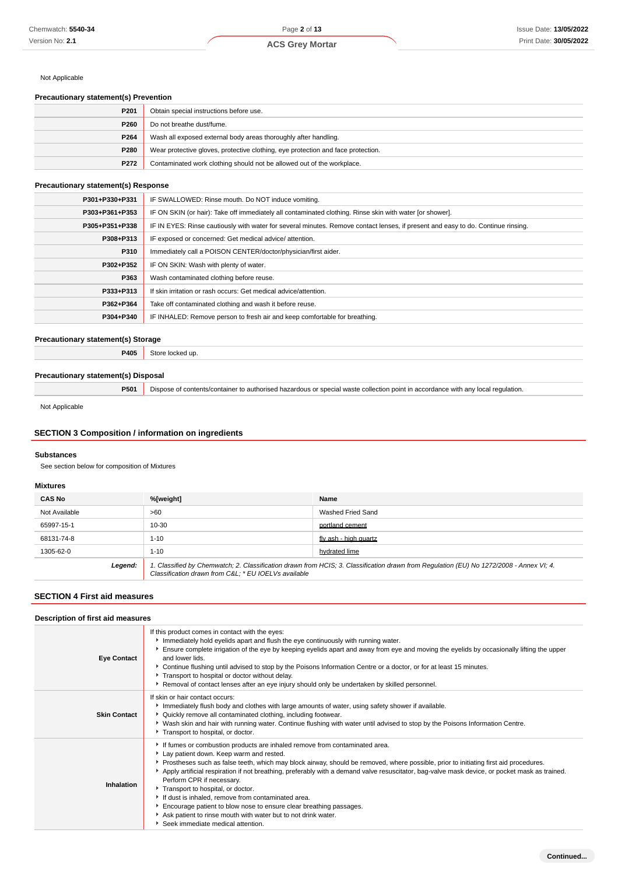#### Not Applicable

## **Precautionary statement(s) Prevention**

| P201             | Obtain special instructions before use.                                          |
|------------------|----------------------------------------------------------------------------------|
| P260             | Do not breathe dust/fume.                                                        |
| P <sub>264</sub> | Wash all exposed external body areas thoroughly after handling.                  |
| P280             | Wear protective gloves, protective clothing, eye protection and face protection. |
| P272             | Contaminated work clothing should not be allowed out of the workplace.           |

#### **Precautionary statement(s) Response**

| P301+P330+P331 | IF SWALLOWED: Rinse mouth. Do NOT induce vomiting.                                                                               |
|----------------|----------------------------------------------------------------------------------------------------------------------------------|
| P303+P361+P353 | IF ON SKIN (or hair): Take off immediately all contaminated clothing. Rinse skin with water [or shower].                         |
| P305+P351+P338 | IF IN EYES: Rinse cautiously with water for several minutes. Remove contact lenses, if present and easy to do. Continue rinsing. |
| P308+P313      | IF exposed or concerned: Get medical advice/attention.                                                                           |
| P310           | Immediately call a POISON CENTER/doctor/physician/first aider.                                                                   |
| P302+P352      | IF ON SKIN: Wash with plenty of water.                                                                                           |
| P363           | Wash contaminated clothing before reuse.                                                                                         |
| P333+P313      | If skin irritation or rash occurs: Get medical advice/attention.                                                                 |
| P362+P364      | Take off contaminated clothing and wash it before reuse.                                                                         |
| P304+P340      | IF INHALED: Remove person to fresh air and keep comfortable for breathing.                                                       |

## **Precautionary statement(s) Storage**

**P405** Store locked up.

#### **Precautionary statement(s) Disposal**

**P501** Dispose of contents/container to authorised hazardous or special waste collection point in accordance with any local regulation.

Not Applicable

## **SECTION 3 Composition / information on ingredients**

#### **Substances**

See section below for composition of Mixtures

#### **Mixtures**

| <b>CAS No</b> | %[weight]                                                                                                                                                                                       | Name                  |
|---------------|-------------------------------------------------------------------------------------------------------------------------------------------------------------------------------------------------|-----------------------|
| Not Available | >60                                                                                                                                                                                             | Washed Fried Sand     |
| 65997-15-1    | 10-30                                                                                                                                                                                           | portland cement       |
| 68131-74-8    | $1 - 10$                                                                                                                                                                                        | fly ash - high quartz |
| 1305-62-0     | $1 - 10$                                                                                                                                                                                        | hydrated lime         |
| Legend:       | 1. Classified by Chemwatch; 2. Classification drawn from HCIS; 3. Classification drawn from Regulation (EU) No 1272/2008 - Annex VI; 4.<br>Classification drawn from C&L: * EU IOELVs available |                       |

#### **SECTION 4 First aid measures**

| Description of first aid measures |                                                                                                                                                                                                                                                                                                                                                                                                                                                                                                                                                                                                                                                                                                                      |  |
|-----------------------------------|----------------------------------------------------------------------------------------------------------------------------------------------------------------------------------------------------------------------------------------------------------------------------------------------------------------------------------------------------------------------------------------------------------------------------------------------------------------------------------------------------------------------------------------------------------------------------------------------------------------------------------------------------------------------------------------------------------------------|--|
| <b>Eye Contact</b>                | If this product comes in contact with the eyes:<br>Immediately hold eyelids apart and flush the eye continuously with running water.<br>Ensure complete irrigation of the eye by keeping eyelids apart and away from eye and moving the eyelids by occasionally lifting the upper<br>and lower lids.<br>▶ Continue flushing until advised to stop by the Poisons Information Centre or a doctor, or for at least 15 minutes.<br>Transport to hospital or doctor without delay.<br>▶ Removal of contact lenses after an eye injury should only be undertaken by skilled personnel.                                                                                                                                    |  |
| <b>Skin Contact</b>               | If skin or hair contact occurs:<br>Immediately flush body and clothes with large amounts of water, using safety shower if available.<br>▶ Quickly remove all contaminated clothing, including footwear.<br>▶ Wash skin and hair with running water. Continue flushing with water until advised to stop by the Poisons Information Centre.<br>Transport to hospital, or doctor.                                                                                                                                                                                                                                                                                                                                       |  |
| Inhalation                        | If fumes or combustion products are inhaled remove from contaminated area.<br>Lay patient down. Keep warm and rested.<br>▶ Prostheses such as false teeth, which may block airway, should be removed, where possible, prior to initiating first aid procedures.<br>Apply artificial respiration if not breathing, preferably with a demand valve resuscitator, bag-valve mask device, or pocket mask as trained.<br>Perform CPR if necessary.<br>Transport to hospital, or doctor.<br>If dust is inhaled, remove from contaminated area.<br>Encourage patient to blow nose to ensure clear breathing passages.<br>Ask patient to rinse mouth with water but to not drink water.<br>Seek immediate medical attention. |  |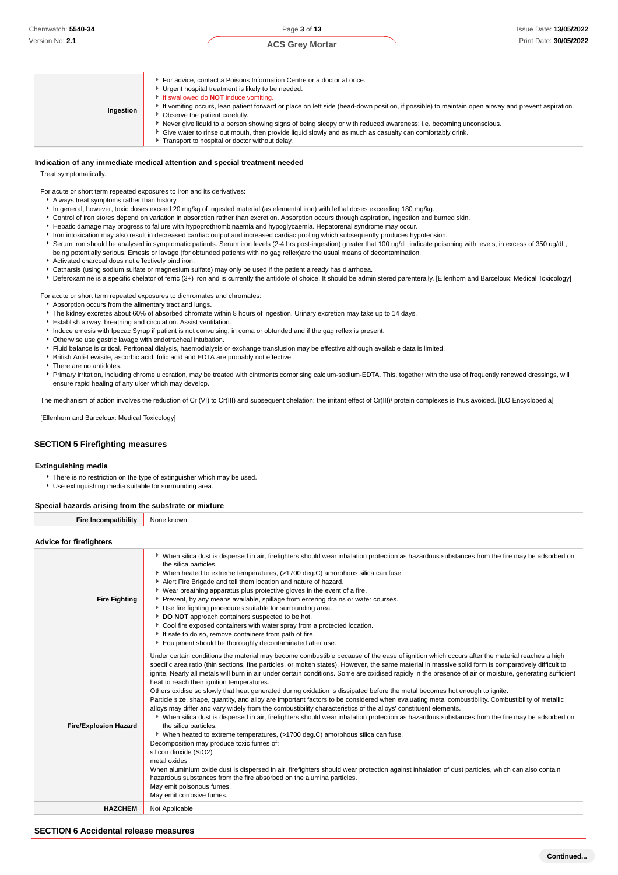| Ingestion | For advice, contact a Poisons Information Centre or a doctor at once.<br>Urgent hospital treatment is likely to be needed.<br>If swallowed do <b>NOT</b> induce vomiting.<br>If vomiting occurs, lean patient forward or place on left side (head-down position, if possible) to maintain open airway and prevent aspiration.<br>• Observe the patient carefully.<br>Never give liquid to a person showing signs of being sleepy or with reduced awareness; i.e. becoming unconscious.<br>Give water to rinse out mouth, then provide liquid slowly and as much as casualty can comfortably drink.<br>Transport to hospital or doctor without delay. |
|-----------|------------------------------------------------------------------------------------------------------------------------------------------------------------------------------------------------------------------------------------------------------------------------------------------------------------------------------------------------------------------------------------------------------------------------------------------------------------------------------------------------------------------------------------------------------------------------------------------------------------------------------------------------------|
|-----------|------------------------------------------------------------------------------------------------------------------------------------------------------------------------------------------------------------------------------------------------------------------------------------------------------------------------------------------------------------------------------------------------------------------------------------------------------------------------------------------------------------------------------------------------------------------------------------------------------------------------------------------------------|

#### **Indication of any immediate medical attention and special treatment needed**

Treat symptomatically.

For acute or short term repeated exposures to iron and its derivatives:

- Always treat symptoms rather than history.
- In general, however, toxic doses exceed 20 mg/kg of ingested material (as elemental iron) with lethal doses exceeding 180 mg/kg.
- Control of iron stores depend on variation in absorption rather than excretion. Absorption occurs through aspiration, ingestion and burned skin.
- Hepatic damage may progress to failure with hypoprothrombinaemia and hypoglycaemia. Hepatorenal syndrome may occur.
- Iron intoxication may also result in decreased cardiac output and increased cardiac pooling which subsequently produces hypotension.
- Serum iron should be analysed in symptomatic patients. Serum iron levels (2-4 hrs post-ingestion) greater that 100 ug/dL indicate poisoning with levels, in excess of 350 ug/dL, being potentially serious. Emesis or lavage (for obtunded patients with no gag reflex)are the usual means of decontamination.
- Activated charcoal does not effectively bind iron.
- Catharsis (using sodium sulfate or magnesium sulfate) may only be used if the patient already has diarrhoea.
- ▶ Deferoxamine is a specific chelator of ferric (3+) iron and is currently the antidote of choice. It should be administered parenterally. [Ellenhorn and Barceloux: Medical Toxicology]

For acute or short term repeated exposures to dichromates and chromates:

- Absorption occurs from the alimentary tract and lungs.
- The kidney excretes about 60% of absorbed chromate within 8 hours of ingestion. Urinary excretion may take up to 14 days.
- Establish airway, breathing and circulation. Assist ventilation.
- Induce emesis with Ipecac Syrup if patient is not convulsing, in coma or obtunded and if the gag reflex is present.
- Otherwise use gastric lavage with endotracheal intubation.
- Fluid balance is critical. Peritoneal dialysis, haemodialysis or exchange transfusion may be effective although available data is limited.
- British Anti-Lewisite, ascorbic acid, folic acid and EDTA are probably not effective.
- **There are no antidotes.**
- Primary irritation, including chrome ulceration, may be treated with ointments comprising calcium-sodium-EDTA. This, together with the use of frequently renewed dressings, will ensure rapid healing of any ulcer which may develop.

The mechanism of action involves the reduction of Cr (VI) to Cr(III) and subsequent chelation; the irritant effect of Cr(III)/ protein complexes is thus avoided. [ILO Encyclopedia]

[Ellenhorn and Barceloux: Medical Toxicology]

#### **SECTION 5 Firefighting measures**

#### **Extinguishing media**

There is no restriction on the type of extinguisher which may be used.

Use extinguishing media suitable for surrounding area.

#### **Special hazards arising from the substrate or mixture**

**Fire Incompatibility** None known.

#### **Advice for firefighters**

| <b>Fire Fighting</b>         | ▶ When silica dust is dispersed in air, firefighters should wear inhalation protection as hazardous substances from the fire may be adsorbed on<br>the silica particles.<br>• When heated to extreme temperatures, (>1700 deg.C) amorphous silica can fuse.<br>Alert Fire Brigade and tell them location and nature of hazard.<br>• Wear breathing apparatus plus protective gloves in the event of a fire.<br>Prevent, by any means available, spillage from entering drains or water courses.<br>Use fire fighting procedures suitable for surrounding area.<br>DO NOT approach containers suspected to be hot.<br>• Cool fire exposed containers with water spray from a protected location.<br>If safe to do so, remove containers from path of fire.<br>Equipment should be thoroughly decontaminated after use.                                                                                                                                                                                                                                                                                                                                                                                                                                                                                                                                                                                                                                                                                                                                           |
|------------------------------|-----------------------------------------------------------------------------------------------------------------------------------------------------------------------------------------------------------------------------------------------------------------------------------------------------------------------------------------------------------------------------------------------------------------------------------------------------------------------------------------------------------------------------------------------------------------------------------------------------------------------------------------------------------------------------------------------------------------------------------------------------------------------------------------------------------------------------------------------------------------------------------------------------------------------------------------------------------------------------------------------------------------------------------------------------------------------------------------------------------------------------------------------------------------------------------------------------------------------------------------------------------------------------------------------------------------------------------------------------------------------------------------------------------------------------------------------------------------------------------------------------------------------------------------------------------------|
| <b>Fire/Explosion Hazard</b> | Under certain conditions the material may become combustible because of the ease of ignition which occurs after the material reaches a high<br>specific area ratio (thin sections, fine particles, or molten states). However, the same material in massive solid form is comparatively difficult to<br>ignite. Nearly all metals will burn in air under certain conditions. Some are oxidised rapidly in the presence of air or moisture, generating sufficient<br>heat to reach their ignition temperatures.<br>Others oxidise so slowly that heat generated during oxidation is dissipated before the metal becomes hot enough to ignite.<br>Particle size, shape, quantity, and alloy are important factors to be considered when evaluating metal combustibility. Combustibility of metallic<br>alloys may differ and vary widely from the combustibility characteristics of the alloys' constituent elements.<br>▶ When silica dust is dispersed in air, firefighters should wear inhalation protection as hazardous substances from the fire may be adsorbed on<br>the silica particles.<br>▶ When heated to extreme temperatures, (>1700 deg.C) amorphous silica can fuse.<br>Decomposition may produce toxic fumes of:<br>silicon dioxide (SiO2)<br>metal oxides<br>When aluminium oxide dust is dispersed in air, firefighters should wear protection against inhalation of dust particles, which can also contain<br>hazardous substances from the fire absorbed on the alumina particles.<br>May emit poisonous fumes.<br>May emit corrosive fumes. |
| <b>HAZCHEM</b>               | Not Applicable                                                                                                                                                                                                                                                                                                                                                                                                                                                                                                                                                                                                                                                                                                                                                                                                                                                                                                                                                                                                                                                                                                                                                                                                                                                                                                                                                                                                                                                                                                                                                  |
|                              |                                                                                                                                                                                                                                                                                                                                                                                                                                                                                                                                                                                                                                                                                                                                                                                                                                                                                                                                                                                                                                                                                                                                                                                                                                                                                                                                                                                                                                                                                                                                                                 |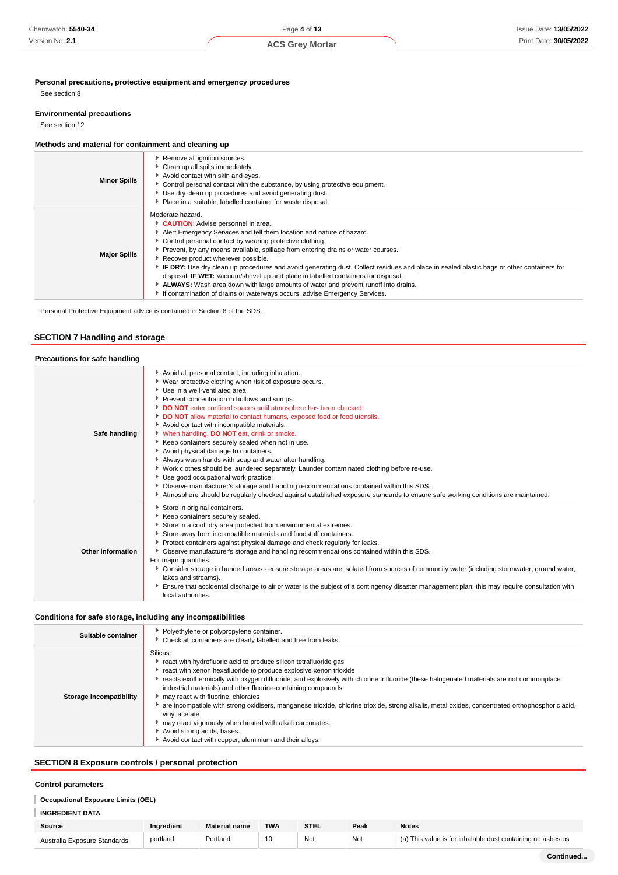## **Personal precautions, protective equipment and emergency procedures**

See section 8

#### **Environmental precautions**

See section 12

## **Methods and material for containment and cleaning up**

| <b>Minor Spills</b> | Remove all ignition sources.<br>Clean up all spills immediately.<br>Avoid contact with skin and eyes.<br>Control personal contact with the substance, by using protective equipment.<br>Use dry clean up procedures and avoid generating dust.<br>• Place in a suitable, labelled container for waste disposal.                                                                                                                                                                                                                                                                                                                                                                                                                        |
|---------------------|----------------------------------------------------------------------------------------------------------------------------------------------------------------------------------------------------------------------------------------------------------------------------------------------------------------------------------------------------------------------------------------------------------------------------------------------------------------------------------------------------------------------------------------------------------------------------------------------------------------------------------------------------------------------------------------------------------------------------------------|
| <b>Major Spills</b> | Moderate hazard.<br>CAUTION: Advise personnel in area.<br>Alert Emergency Services and tell them location and nature of hazard.<br>• Control personal contact by wearing protective clothing.<br>Prevent, by any means available, spillage from entering drains or water courses.<br>Recover product wherever possible.<br>FIF DRY: Use dry clean up procedures and avoid generating dust. Collect residues and place in sealed plastic bags or other containers for<br>disposal. <b>IF WET:</b> Vacuum/shovel up and place in labelled containers for disposal.<br>▶ ALWAYS: Wash area down with large amounts of water and prevent runoff into drains.<br>If contamination of drains or waterways occurs, advise Emergency Services. |

Personal Protective Equipment advice is contained in Section 8 of the SDS.

## **SECTION 7 Handling and storage**

| Precautions for safe handling |                                                                                                                                                                                                                                                                                                                                                                                                                                                                                                                                                                                                                                                                                                                                                                                                                                                                                                                                                                       |
|-------------------------------|-----------------------------------------------------------------------------------------------------------------------------------------------------------------------------------------------------------------------------------------------------------------------------------------------------------------------------------------------------------------------------------------------------------------------------------------------------------------------------------------------------------------------------------------------------------------------------------------------------------------------------------------------------------------------------------------------------------------------------------------------------------------------------------------------------------------------------------------------------------------------------------------------------------------------------------------------------------------------|
| Safe handling                 | Avoid all personal contact, including inhalation.<br>▶ Wear protective clothing when risk of exposure occurs.<br>Use in a well-ventilated area.<br>Prevent concentration in hollows and sumps.<br>DO NOT enter confined spaces until atmosphere has been checked.<br>DO NOT allow material to contact humans, exposed food or food utensils.<br>Avoid contact with incompatible materials.<br>V When handling, DO NOT eat, drink or smoke.<br>Keep containers securely sealed when not in use.<br>Avoid physical damage to containers.<br>Always wash hands with soap and water after handling.<br>► Work clothes should be laundered separately. Launder contaminated clothing before re-use.<br>Use good occupational work practice.<br>▶ Observe manufacturer's storage and handling recommendations contained within this SDS.<br>Atmosphere should be regularly checked against established exposure standards to ensure safe working conditions are maintained. |
| Other information             | Store in original containers.<br>Keep containers securely sealed.<br>Store in a cool, dry area protected from environmental extremes.<br>Store away from incompatible materials and foodstuff containers.<br>▶ Protect containers against physical damage and check regularly for leaks.<br>▶ Observe manufacturer's storage and handling recommendations contained within this SDS.<br>For major quantities:<br>> Consider storage in bunded areas - ensure storage areas are isolated from sources of community water (including stormwater, ground water,<br>lakes and streams}.<br>Ensure that accidental discharge to air or water is the subject of a contingency disaster management plan; this may require consultation with<br>local authorities.                                                                                                                                                                                                            |

#### **Conditions for safe storage, including any incompatibilities**

| Suitable container      | • Polyethylene or polypropylene container.<br>• Check all containers are clearly labelled and free from leaks.                                                                                                                                                                                                                                                                                                                                                                                                                                                                                                                                                                                                                |
|-------------------------|-------------------------------------------------------------------------------------------------------------------------------------------------------------------------------------------------------------------------------------------------------------------------------------------------------------------------------------------------------------------------------------------------------------------------------------------------------------------------------------------------------------------------------------------------------------------------------------------------------------------------------------------------------------------------------------------------------------------------------|
| Storage incompatibility | Silicas:<br>react with hydrofluoric acid to produce silicon tetrafluoride gas<br>react with xenon hexafluoride to produce explosive xenon trioxide<br>reacts exothermically with oxygen difluoride, and explosively with chlorine trifluoride (these halogenated materials are not commonplace<br>industrial materials) and other fluorine-containing compounds<br>may react with fluorine, chlorates<br>are incompatible with strong oxidisers, manganese trioxide, chlorine trioxide, strong alkalis, metal oxides, concentrated orthophosphoric acid,<br>vinyl acetate<br>may react vigorously when heated with alkali carbonates.<br>Avoid strong acids, bases.<br>Avoid contact with copper, aluminium and their alloys. |

## **SECTION 8 Exposure controls / personal protection**

#### **Control parameters**

## **Occupational Exposure Limits (OEL)**

## **INGREDIENT DATA**

| Source                       | Inaredient | <b>Material name</b> | <b>TWA</b> | <b>STEL</b> | Peak | <b>Notes</b>                                                |
|------------------------------|------------|----------------------|------------|-------------|------|-------------------------------------------------------------|
| Australia Exposure Standards | portland   | Portland             | 10         | Not         | Not  | (a) This value is for inhalable dust containing no asbestos |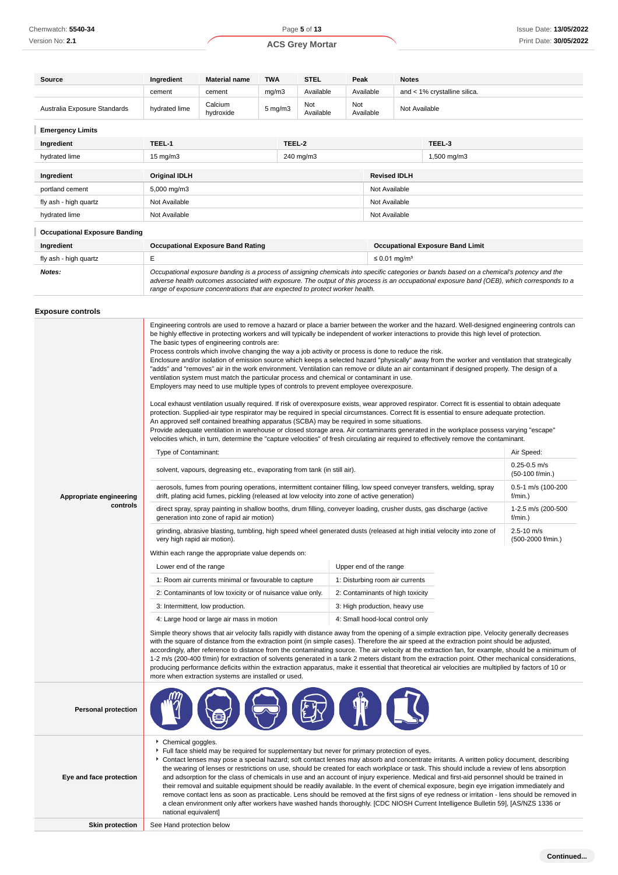**Continued...**

| Source                               | Ingredient                                                                                                                                                                                                                                                                                                                                                                                                                                                                                                                                                                                                                                                                                                                                                                                                                                                                                                                                                                                                               | <b>Material name</b>                                                                                                                                                                                                                                                                                                                                                                                                                                                                                                                                                                                                                                                                                                                                                                                                                                                                                                                                                                                                                                                                                                                                                                                                                                                                                                                                                                                                                                                                                                                                                                                                                                                                                                                                                                                                                                                                                                                                                                                                                                                                                                                                                                                                                                                                                                                                                                                                                                                                                                                                                                                                                                                                                                                                                                                                                                                                                                                                                                                                                                                                                                                                                                                                                                                                                                                                                                                                                                                                                                                                                                                                                                                                                                                                                | <b>TWA</b>                                                       |  | <b>STEL</b> | Peak |               | <b>Notes</b>        |                                                                                                                                                                                                                                                                                          |  |
|--------------------------------------|--------------------------------------------------------------------------------------------------------------------------------------------------------------------------------------------------------------------------------------------------------------------------------------------------------------------------------------------------------------------------------------------------------------------------------------------------------------------------------------------------------------------------------------------------------------------------------------------------------------------------------------------------------------------------------------------------------------------------------------------------------------------------------------------------------------------------------------------------------------------------------------------------------------------------------------------------------------------------------------------------------------------------|---------------------------------------------------------------------------------------------------------------------------------------------------------------------------------------------------------------------------------------------------------------------------------------------------------------------------------------------------------------------------------------------------------------------------------------------------------------------------------------------------------------------------------------------------------------------------------------------------------------------------------------------------------------------------------------------------------------------------------------------------------------------------------------------------------------------------------------------------------------------------------------------------------------------------------------------------------------------------------------------------------------------------------------------------------------------------------------------------------------------------------------------------------------------------------------------------------------------------------------------------------------------------------------------------------------------------------------------------------------------------------------------------------------------------------------------------------------------------------------------------------------------------------------------------------------------------------------------------------------------------------------------------------------------------------------------------------------------------------------------------------------------------------------------------------------------------------------------------------------------------------------------------------------------------------------------------------------------------------------------------------------------------------------------------------------------------------------------------------------------------------------------------------------------------------------------------------------------------------------------------------------------------------------------------------------------------------------------------------------------------------------------------------------------------------------------------------------------------------------------------------------------------------------------------------------------------------------------------------------------------------------------------------------------------------------------------------------------------------------------------------------------------------------------------------------------------------------------------------------------------------------------------------------------------------------------------------------------------------------------------------------------------------------------------------------------------------------------------------------------------------------------------------------------------------------------------------------------------------------------------------------------------------------------------------------------------------------------------------------------------------------------------------------------------------------------------------------------------------------------------------------------------------------------------------------------------------------------------------------------------------------------------------------------------------------------------------------------------------------------------------------------|------------------------------------------------------------------|--|-------------|------|---------------|---------------------|------------------------------------------------------------------------------------------------------------------------------------------------------------------------------------------------------------------------------------------------------------------------------------------|--|
|                                      | mg/m3<br>Available<br>Available<br>and < 1% crystalline silica.<br>cement<br>cement                                                                                                                                                                                                                                                                                                                                                                                                                                                                                                                                                                                                                                                                                                                                                                                                                                                                                                                                      |                                                                                                                                                                                                                                                                                                                                                                                                                                                                                                                                                                                                                                                                                                                                                                                                                                                                                                                                                                                                                                                                                                                                                                                                                                                                                                                                                                                                                                                                                                                                                                                                                                                                                                                                                                                                                                                                                                                                                                                                                                                                                                                                                                                                                                                                                                                                                                                                                                                                                                                                                                                                                                                                                                                                                                                                                                                                                                                                                                                                                                                                                                                                                                                                                                                                                                                                                                                                                                                                                                                                                                                                                                                                                                                                                                     |                                                                  |  |             |      |               |                     |                                                                                                                                                                                                                                                                                          |  |
| Australia Exposure Standards         | hydrated lime                                                                                                                                                                                                                                                                                                                                                                                                                                                                                                                                                                                                                                                                                                                                                                                                                                                                                                                                                                                                            | Calcium<br>hydroxide                                                                                                                                                                                                                                                                                                                                                                                                                                                                                                                                                                                                                                                                                                                                                                                                                                                                                                                                                                                                                                                                                                                                                                                                                                                                                                                                                                                                                                                                                                                                                                                                                                                                                                                                                                                                                                                                                                                                                                                                                                                                                                                                                                                                                                                                                                                                                                                                                                                                                                                                                                                                                                                                                                                                                                                                                                                                                                                                                                                                                                                                                                                                                                                                                                                                                                                                                                                                                                                                                                                                                                                                                                                                                                                                                | Not<br>Not<br>5 mg/m3<br>Not Available<br>Available<br>Available |  |             |      |               |                     |                                                                                                                                                                                                                                                                                          |  |
| <b>Emergency Limits</b>              |                                                                                                                                                                                                                                                                                                                                                                                                                                                                                                                                                                                                                                                                                                                                                                                                                                                                                                                                                                                                                          |                                                                                                                                                                                                                                                                                                                                                                                                                                                                                                                                                                                                                                                                                                                                                                                                                                                                                                                                                                                                                                                                                                                                                                                                                                                                                                                                                                                                                                                                                                                                                                                                                                                                                                                                                                                                                                                                                                                                                                                                                                                                                                                                                                                                                                                                                                                                                                                                                                                                                                                                                                                                                                                                                                                                                                                                                                                                                                                                                                                                                                                                                                                                                                                                                                                                                                                                                                                                                                                                                                                                                                                                                                                                                                                                                                     |                                                                  |  |             |      |               |                     |                                                                                                                                                                                                                                                                                          |  |
| Ingredient                           | TEEL-1<br>TEEL-2<br>TEEL-3                                                                                                                                                                                                                                                                                                                                                                                                                                                                                                                                                                                                                                                                                                                                                                                                                                                                                                                                                                                               |                                                                                                                                                                                                                                                                                                                                                                                                                                                                                                                                                                                                                                                                                                                                                                                                                                                                                                                                                                                                                                                                                                                                                                                                                                                                                                                                                                                                                                                                                                                                                                                                                                                                                                                                                                                                                                                                                                                                                                                                                                                                                                                                                                                                                                                                                                                                                                                                                                                                                                                                                                                                                                                                                                                                                                                                                                                                                                                                                                                                                                                                                                                                                                                                                                                                                                                                                                                                                                                                                                                                                                                                                                                                                                                                                                     |                                                                  |  |             |      |               |                     |                                                                                                                                                                                                                                                                                          |  |
| hydrated lime                        | $15 \text{ mg/m}$                                                                                                                                                                                                                                                                                                                                                                                                                                                                                                                                                                                                                                                                                                                                                                                                                                                                                                                                                                                                        | 240 mg/m3<br>1,500 mg/m3                                                                                                                                                                                                                                                                                                                                                                                                                                                                                                                                                                                                                                                                                                                                                                                                                                                                                                                                                                                                                                                                                                                                                                                                                                                                                                                                                                                                                                                                                                                                                                                                                                                                                                                                                                                                                                                                                                                                                                                                                                                                                                                                                                                                                                                                                                                                                                                                                                                                                                                                                                                                                                                                                                                                                                                                                                                                                                                                                                                                                                                                                                                                                                                                                                                                                                                                                                                                                                                                                                                                                                                                                                                                                                                                            |                                                                  |  |             |      |               |                     |                                                                                                                                                                                                                                                                                          |  |
| Ingredient                           | Original IDLH                                                                                                                                                                                                                                                                                                                                                                                                                                                                                                                                                                                                                                                                                                                                                                                                                                                                                                                                                                                                            |                                                                                                                                                                                                                                                                                                                                                                                                                                                                                                                                                                                                                                                                                                                                                                                                                                                                                                                                                                                                                                                                                                                                                                                                                                                                                                                                                                                                                                                                                                                                                                                                                                                                                                                                                                                                                                                                                                                                                                                                                                                                                                                                                                                                                                                                                                                                                                                                                                                                                                                                                                                                                                                                                                                                                                                                                                                                                                                                                                                                                                                                                                                                                                                                                                                                                                                                                                                                                                                                                                                                                                                                                                                                                                                                                                     |                                                                  |  |             |      |               | <b>Revised IDLH</b> |                                                                                                                                                                                                                                                                                          |  |
| portland cement                      | 5,000 mg/m3                                                                                                                                                                                                                                                                                                                                                                                                                                                                                                                                                                                                                                                                                                                                                                                                                                                                                                                                                                                                              |                                                                                                                                                                                                                                                                                                                                                                                                                                                                                                                                                                                                                                                                                                                                                                                                                                                                                                                                                                                                                                                                                                                                                                                                                                                                                                                                                                                                                                                                                                                                                                                                                                                                                                                                                                                                                                                                                                                                                                                                                                                                                                                                                                                                                                                                                                                                                                                                                                                                                                                                                                                                                                                                                                                                                                                                                                                                                                                                                                                                                                                                                                                                                                                                                                                                                                                                                                                                                                                                                                                                                                                                                                                                                                                                                                     |                                                                  |  |             |      | Not Available |                     |                                                                                                                                                                                                                                                                                          |  |
| fly ash - high quartz                | Not Available                                                                                                                                                                                                                                                                                                                                                                                                                                                                                                                                                                                                                                                                                                                                                                                                                                                                                                                                                                                                            |                                                                                                                                                                                                                                                                                                                                                                                                                                                                                                                                                                                                                                                                                                                                                                                                                                                                                                                                                                                                                                                                                                                                                                                                                                                                                                                                                                                                                                                                                                                                                                                                                                                                                                                                                                                                                                                                                                                                                                                                                                                                                                                                                                                                                                                                                                                                                                                                                                                                                                                                                                                                                                                                                                                                                                                                                                                                                                                                                                                                                                                                                                                                                                                                                                                                                                                                                                                                                                                                                                                                                                                                                                                                                                                                                                     |                                                                  |  |             |      | Not Available |                     |                                                                                                                                                                                                                                                                                          |  |
| hydrated lime                        | Not Available                                                                                                                                                                                                                                                                                                                                                                                                                                                                                                                                                                                                                                                                                                                                                                                                                                                                                                                                                                                                            |                                                                                                                                                                                                                                                                                                                                                                                                                                                                                                                                                                                                                                                                                                                                                                                                                                                                                                                                                                                                                                                                                                                                                                                                                                                                                                                                                                                                                                                                                                                                                                                                                                                                                                                                                                                                                                                                                                                                                                                                                                                                                                                                                                                                                                                                                                                                                                                                                                                                                                                                                                                                                                                                                                                                                                                                                                                                                                                                                                                                                                                                                                                                                                                                                                                                                                                                                                                                                                                                                                                                                                                                                                                                                                                                                                     |                                                                  |  |             |      | Not Available |                     |                                                                                                                                                                                                                                                                                          |  |
| <b>Occupational Exposure Banding</b> |                                                                                                                                                                                                                                                                                                                                                                                                                                                                                                                                                                                                                                                                                                                                                                                                                                                                                                                                                                                                                          |                                                                                                                                                                                                                                                                                                                                                                                                                                                                                                                                                                                                                                                                                                                                                                                                                                                                                                                                                                                                                                                                                                                                                                                                                                                                                                                                                                                                                                                                                                                                                                                                                                                                                                                                                                                                                                                                                                                                                                                                                                                                                                                                                                                                                                                                                                                                                                                                                                                                                                                                                                                                                                                                                                                                                                                                                                                                                                                                                                                                                                                                                                                                                                                                                                                                                                                                                                                                                                                                                                                                                                                                                                                                                                                                                                     |                                                                  |  |             |      |               |                     |                                                                                                                                                                                                                                                                                          |  |
| Ingredient                           |                                                                                                                                                                                                                                                                                                                                                                                                                                                                                                                                                                                                                                                                                                                                                                                                                                                                                                                                                                                                                          | <b>Occupational Exposure Band Rating</b>                                                                                                                                                                                                                                                                                                                                                                                                                                                                                                                                                                                                                                                                                                                                                                                                                                                                                                                                                                                                                                                                                                                                                                                                                                                                                                                                                                                                                                                                                                                                                                                                                                                                                                                                                                                                                                                                                                                                                                                                                                                                                                                                                                                                                                                                                                                                                                                                                                                                                                                                                                                                                                                                                                                                                                                                                                                                                                                                                                                                                                                                                                                                                                                                                                                                                                                                                                                                                                                                                                                                                                                                                                                                                                                            |                                                                  |  |             |      |               |                     | <b>Occupational Exposure Band Limit</b>                                                                                                                                                                                                                                                  |  |
| fly ash - high quartz                | E                                                                                                                                                                                                                                                                                                                                                                                                                                                                                                                                                                                                                                                                                                                                                                                                                                                                                                                                                                                                                        | $\leq$ 0.01 mg/m <sup>3</sup>                                                                                                                                                                                                                                                                                                                                                                                                                                                                                                                                                                                                                                                                                                                                                                                                                                                                                                                                                                                                                                                                                                                                                                                                                                                                                                                                                                                                                                                                                                                                                                                                                                                                                                                                                                                                                                                                                                                                                                                                                                                                                                                                                                                                                                                                                                                                                                                                                                                                                                                                                                                                                                                                                                                                                                                                                                                                                                                                                                                                                                                                                                                                                                                                                                                                                                                                                                                                                                                                                                                                                                                                                                                                                                                                       |                                                                  |  |             |      |               |                     |                                                                                                                                                                                                                                                                                          |  |
| Notes:                               |                                                                                                                                                                                                                                                                                                                                                                                                                                                                                                                                                                                                                                                                                                                                                                                                                                                                                                                                                                                                                          | range of exposure concentrations that are expected to protect worker health.                                                                                                                                                                                                                                                                                                                                                                                                                                                                                                                                                                                                                                                                                                                                                                                                                                                                                                                                                                                                                                                                                                                                                                                                                                                                                                                                                                                                                                                                                                                                                                                                                                                                                                                                                                                                                                                                                                                                                                                                                                                                                                                                                                                                                                                                                                                                                                                                                                                                                                                                                                                                                                                                                                                                                                                                                                                                                                                                                                                                                                                                                                                                                                                                                                                                                                                                                                                                                                                                                                                                                                                                                                                                                        |                                                                  |  |             |      |               |                     | Occupational exposure banding is a process of assigning chemicals into specific categories or bands based on a chemical's potency and the<br>adverse health outcomes associated with exposure. The output of this process is an occupational exposure band (OEB), which corresponds to a |  |
| <b>Exposure controls</b>             |                                                                                                                                                                                                                                                                                                                                                                                                                                                                                                                                                                                                                                                                                                                                                                                                                                                                                                                                                                                                                          |                                                                                                                                                                                                                                                                                                                                                                                                                                                                                                                                                                                                                                                                                                                                                                                                                                                                                                                                                                                                                                                                                                                                                                                                                                                                                                                                                                                                                                                                                                                                                                                                                                                                                                                                                                                                                                                                                                                                                                                                                                                                                                                                                                                                                                                                                                                                                                                                                                                                                                                                                                                                                                                                                                                                                                                                                                                                                                                                                                                                                                                                                                                                                                                                                                                                                                                                                                                                                                                                                                                                                                                                                                                                                                                                                                     |                                                                  |  |             |      |               |                     |                                                                                                                                                                                                                                                                                          |  |
| Appropriate engineering<br>controls  |                                                                                                                                                                                                                                                                                                                                                                                                                                                                                                                                                                                                                                                                                                                                                                                                                                                                                                                                                                                                                          | Engineering controls are used to remove a hazard or place a barrier between the worker and the hazard. Well-designed engineering controls can<br>be highly effective in protecting workers and will typically be independent of worker interactions to provide this high level of protection.<br>The basic types of engineering controls are:<br>Process controls which involve changing the way a job activity or process is done to reduce the risk.<br>Enclosure and/or isolation of emission source which keeps a selected hazard "physically" away from the worker and ventilation that strategically<br>"adds" and "removes" air in the work environment. Ventilation can remove or dilute an air contaminant if designed properly. The design of a<br>ventilation system must match the particular process and chemical or contaminant in use.<br>Employers may need to use multiple types of controls to prevent employee overexposure.<br>Local exhaust ventilation usually required. If risk of overexposure exists, wear approved respirator. Correct fit is essential to obtain adequate<br>protection. Supplied-air type respirator may be required in special circumstances. Correct fit is essential to ensure adequate protection.<br>An approved self contained breathing apparatus (SCBA) may be required in some situations.<br>Provide adequate ventilation in warehouse or closed storage area. Air contaminants generated in the workplace possess varying "escape"<br>velocities which, in turn, determine the "capture velocities" of fresh circulating air required to effectively remove the contaminant.<br>Air Speed:<br>Type of Contaminant:<br>$0.25 - 0.5$ m/s<br>solvent, vapours, degreasing etc., evaporating from tank (in still air).<br>(50-100 f/min.)<br>aerosols, fumes from pouring operations, intermittent container filling, low speed conveyer transfers, welding, spray<br>0.5-1 m/s (100-200<br>drift, plating acid fumes, pickling (released at low velocity into zone of active generation)<br>$f/min.$ )<br>1-2.5 m/s (200-500<br>direct spray, spray painting in shallow booths, drum filling, conveyer loading, crusher dusts, gas discharge (active<br>generation into zone of rapid air motion)<br>f/min.)<br>$2.5 - 10$ m/s<br>grinding, abrasive blasting, tumbling, high speed wheel generated dusts (released at high initial velocity into zone of<br>(500-2000 f/min.)<br>very high rapid air motion).<br>Within each range the appropriate value depends on:<br>Lower end of the range<br>Upper end of the range<br>1: Room air currents minimal or favourable to capture<br>1: Disturbing room air currents<br>2: Contaminants of low toxicity or of nuisance value only.<br>2: Contaminants of high toxicity<br>3: Intermittent, low production.<br>3: High production, heavy use<br>4: Large hood or large air mass in motion<br>4: Small hood-local control only<br>Simple theory shows that air velocity falls rapidly with distance away from the opening of a simple extraction pipe. Velocity generally decreases<br>with the square of distance from the extraction point (in simple cases). Therefore the air speed at the extraction point should be adjusted,<br>accordingly, after reference to distance from the contaminating source. The air velocity at the extraction fan, for example, should be a minimum of<br>1-2 m/s (200-400 f/min) for extraction of solvents generated in a tank 2 meters distant from the extraction point. Other mechanical considerations,<br>producing performance deficits within the extraction apparatus, make it essential that theoretical air velocities are multiplied by factors of 10 or<br>more when extraction systems are installed or used. |                                                                  |  |             |      |               |                     |                                                                                                                                                                                                                                                                                          |  |
| <b>Personal protection</b>           |                                                                                                                                                                                                                                                                                                                                                                                                                                                                                                                                                                                                                                                                                                                                                                                                                                                                                                                                                                                                                          |                                                                                                                                                                                                                                                                                                                                                                                                                                                                                                                                                                                                                                                                                                                                                                                                                                                                                                                                                                                                                                                                                                                                                                                                                                                                                                                                                                                                                                                                                                                                                                                                                                                                                                                                                                                                                                                                                                                                                                                                                                                                                                                                                                                                                                                                                                                                                                                                                                                                                                                                                                                                                                                                                                                                                                                                                                                                                                                                                                                                                                                                                                                                                                                                                                                                                                                                                                                                                                                                                                                                                                                                                                                                                                                                                                     |                                                                  |  |             |      |               |                     |                                                                                                                                                                                                                                                                                          |  |
| Eye and face protection              | Chemical goggles.<br>Full face shield may be required for supplementary but never for primary protection of eyes.<br>Contact lenses may pose a special hazard; soft contact lenses may absorb and concentrate irritants. A written policy document, describing<br>the wearing of lenses or restrictions on use, should be created for each workplace or task. This should include a review of lens absorption<br>and adsorption for the class of chemicals in use and an account of injury experience. Medical and first-aid personnel should be trained in<br>their removal and suitable equipment should be readily available. In the event of chemical exposure, begin eye irrigation immediately and<br>remove contact lens as soon as practicable. Lens should be removed at the first signs of eye redness or irritation - lens should be removed in<br>a clean environment only after workers have washed hands thoroughly. [CDC NIOSH Current Intelligence Bulletin 59], [AS/NZS 1336 or<br>national equivalent] |                                                                                                                                                                                                                                                                                                                                                                                                                                                                                                                                                                                                                                                                                                                                                                                                                                                                                                                                                                                                                                                                                                                                                                                                                                                                                                                                                                                                                                                                                                                                                                                                                                                                                                                                                                                                                                                                                                                                                                                                                                                                                                                                                                                                                                                                                                                                                                                                                                                                                                                                                                                                                                                                                                                                                                                                                                                                                                                                                                                                                                                                                                                                                                                                                                                                                                                                                                                                                                                                                                                                                                                                                                                                                                                                                                     |                                                                  |  |             |      |               |                     |                                                                                                                                                                                                                                                                                          |  |
| <b>Skin protection</b>               | See Hand protection below                                                                                                                                                                                                                                                                                                                                                                                                                                                                                                                                                                                                                                                                                                                                                                                                                                                                                                                                                                                                |                                                                                                                                                                                                                                                                                                                                                                                                                                                                                                                                                                                                                                                                                                                                                                                                                                                                                                                                                                                                                                                                                                                                                                                                                                                                                                                                                                                                                                                                                                                                                                                                                                                                                                                                                                                                                                                                                                                                                                                                                                                                                                                                                                                                                                                                                                                                                                                                                                                                                                                                                                                                                                                                                                                                                                                                                                                                                                                                                                                                                                                                                                                                                                                                                                                                                                                                                                                                                                                                                                                                                                                                                                                                                                                                                                     |                                                                  |  |             |      |               |                     |                                                                                                                                                                                                                                                                                          |  |
|                                      |                                                                                                                                                                                                                                                                                                                                                                                                                                                                                                                                                                                                                                                                                                                                                                                                                                                                                                                                                                                                                          |                                                                                                                                                                                                                                                                                                                                                                                                                                                                                                                                                                                                                                                                                                                                                                                                                                                                                                                                                                                                                                                                                                                                                                                                                                                                                                                                                                                                                                                                                                                                                                                                                                                                                                                                                                                                                                                                                                                                                                                                                                                                                                                                                                                                                                                                                                                                                                                                                                                                                                                                                                                                                                                                                                                                                                                                                                                                                                                                                                                                                                                                                                                                                                                                                                                                                                                                                                                                                                                                                                                                                                                                                                                                                                                                                                     |                                                                  |  |             |      |               |                     |                                                                                                                                                                                                                                                                                          |  |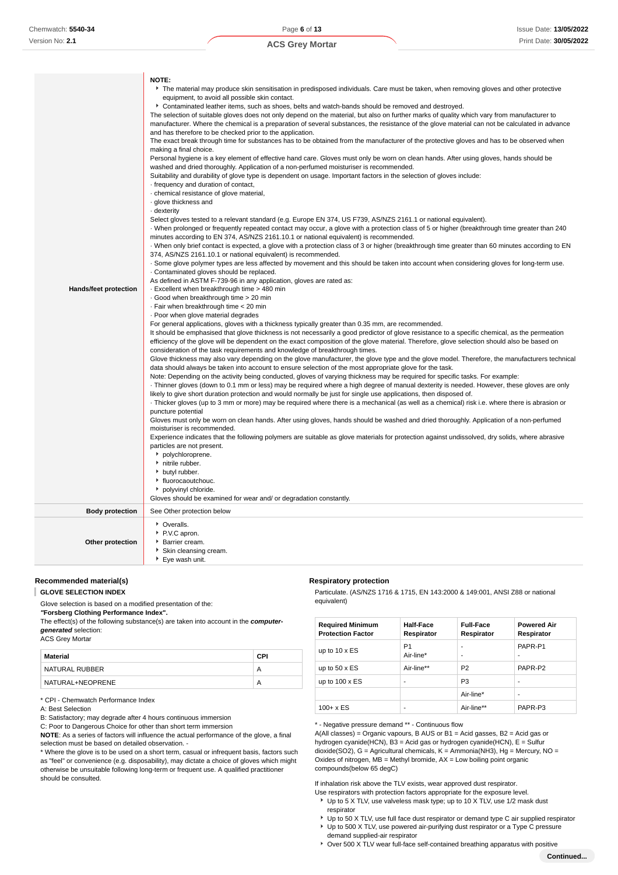| Hands/feet protection  | NOTE:<br>The material may produce skin sensitisation in predisposed individuals. Care must be taken, when removing gloves and other protective<br>equipment, to avoid all possible skin contact.<br>Contaminated leather items, such as shoes, belts and watch-bands should be removed and destroyed.<br>The selection of suitable gloves does not only depend on the material, but also on further marks of quality which vary from manufacturer to<br>manufacturer. Where the chemical is a preparation of several substances, the resistance of the glove material can not be calculated in advance<br>and has therefore to be checked prior to the application.<br>The exact break through time for substances has to be obtained from the manufacturer of the protective gloves and has to be observed when<br>making a final choice.<br>Personal hygiene is a key element of effective hand care. Gloves must only be worn on clean hands. After using gloves, hands should be<br>washed and dried thoroughly. Application of a non-perfumed moisturiser is recommended.<br>Suitability and durability of glove type is dependent on usage. Important factors in the selection of gloves include:<br>- frequency and duration of contact,<br>· chemical resistance of glove material,<br>· glove thickness and<br>dexterity<br>Select gloves tested to a relevant standard (e.g. Europe EN 374, US F739, AS/NZS 2161.1 or national equivalent).<br>When prolonged or frequently repeated contact may occur, a glove with a protection class of 5 or higher (breakthrough time greater than 240<br>minutes according to EN 374, AS/NZS 2161.10.1 or national equivalent) is recommended.<br>When only brief contact is expected, a glove with a protection class of 3 or higher (breakthrough time greater than 60 minutes according to EN<br>374, AS/NZS 2161.10.1 or national equivalent) is recommended.<br>. Some glove polymer types are less affected by movement and this should be taken into account when considering gloves for long-term use.<br>Contaminated gloves should be replaced.<br>As defined in ASTM F-739-96 in any application, gloves are rated as:<br>- Excellent when breakthrough time > 480 min<br>Good when breakthrough time > 20 min<br>· Fair when breakthrough time < 20 min<br>. Poor when glove material degrades<br>For general applications, gloves with a thickness typically greater than 0.35 mm, are recommended.<br>It should be emphasised that glove thickness is not necessarily a good predictor of glove resistance to a specific chemical, as the permeation<br>efficiency of the glove will be dependent on the exact composition of the glove material. Therefore, glove selection should also be based on<br>consideration of the task requirements and knowledge of breakthrough times.<br>Glove thickness may also vary depending on the glove manufacturer, the glove type and the glove model. Therefore, the manufacturers technical<br>data should always be taken into account to ensure selection of the most appropriate glove for the task.<br>Note: Depending on the activity being conducted, gloves of varying thickness may be required for specific tasks. For example:<br>Thinner gloves (down to 0.1 mm or less) may be required where a high degree of manual dexterity is needed. However, these gloves are only<br>likely to give short duration protection and would normally be just for single use applications, then disposed of.<br>Thicker gloves (up to 3 mm or more) may be required where there is a mechanical (as well as a chemical) risk i.e. where there is abrasion or<br>puncture potential<br>Gloves must only be worn on clean hands. After using gloves, hands should be washed and dried thoroughly. Application of a non-perfumed<br>moisturiser is recommended.<br>Experience indicates that the following polymers are suitable as glove materials for protection against undissolved, dry solids, where abrasive<br>particles are not present.<br>polychloroprene.<br>• nitrile rubber.<br>butyl rubber.<br>liuorocaoutchouc.<br>polyvinyl chloride. |
|------------------------|----------------------------------------------------------------------------------------------------------------------------------------------------------------------------------------------------------------------------------------------------------------------------------------------------------------------------------------------------------------------------------------------------------------------------------------------------------------------------------------------------------------------------------------------------------------------------------------------------------------------------------------------------------------------------------------------------------------------------------------------------------------------------------------------------------------------------------------------------------------------------------------------------------------------------------------------------------------------------------------------------------------------------------------------------------------------------------------------------------------------------------------------------------------------------------------------------------------------------------------------------------------------------------------------------------------------------------------------------------------------------------------------------------------------------------------------------------------------------------------------------------------------------------------------------------------------------------------------------------------------------------------------------------------------------------------------------------------------------------------------------------------------------------------------------------------------------------------------------------------------------------------------------------------------------------------------------------------------------------------------------------------------------------------------------------------------------------------------------------------------------------------------------------------------------------------------------------------------------------------------------------------------------------------------------------------------------------------------------------------------------------------------------------------------------------------------------------------------------------------------------------------------------------------------------------------------------------------------------------------------------------------------------------------------------------------------------------------------------------------------------------------------------------------------------------------------------------------------------------------------------------------------------------------------------------------------------------------------------------------------------------------------------------------------------------------------------------------------------------------------------------------------------------------------------------------------------------------------------------------------------------------------------------------------------------------------------------------------------------------------------------------------------------------------------------------------------------------------------------------------------------------------------------------------------------------------------------------------------------------------------------------------------------------------------------------------------------------------------------------------------------------------------------------------------------------------------------------------------------------------------------------------------------------------------------------------------------------------------------------------------------------------------------------------------------------------------------------------------------------------------------------------------------|
|                        | Gloves should be examined for wear and/ or degradation constantly.                                                                                                                                                                                                                                                                                                                                                                                                                                                                                                                                                                                                                                                                                                                                                                                                                                                                                                                                                                                                                                                                                                                                                                                                                                                                                                                                                                                                                                                                                                                                                                                                                                                                                                                                                                                                                                                                                                                                                                                                                                                                                                                                                                                                                                                                                                                                                                                                                                                                                                                                                                                                                                                                                                                                                                                                                                                                                                                                                                                                                                                                                                                                                                                                                                                                                                                                                                                                                                                                                                                                                                                                                                                                                                                                                                                                                                                                                                                                                                                                                                                                                       |
| <b>Body protection</b> | See Other protection below                                                                                                                                                                                                                                                                                                                                                                                                                                                                                                                                                                                                                                                                                                                                                                                                                                                                                                                                                                                                                                                                                                                                                                                                                                                                                                                                                                                                                                                                                                                                                                                                                                                                                                                                                                                                                                                                                                                                                                                                                                                                                                                                                                                                                                                                                                                                                                                                                                                                                                                                                                                                                                                                                                                                                                                                                                                                                                                                                                                                                                                                                                                                                                                                                                                                                                                                                                                                                                                                                                                                                                                                                                                                                                                                                                                                                                                                                                                                                                                                                                                                                                                               |
| Other protection       | • Overalls.<br>P.V.C apron.<br>▶ Barrier cream.<br>Skin cleansing cream.<br>▶ Eye wash unit.                                                                                                                                                                                                                                                                                                                                                                                                                                                                                                                                                                                                                                                                                                                                                                                                                                                                                                                                                                                                                                                                                                                                                                                                                                                                                                                                                                                                                                                                                                                                                                                                                                                                                                                                                                                                                                                                                                                                                                                                                                                                                                                                                                                                                                                                                                                                                                                                                                                                                                                                                                                                                                                                                                                                                                                                                                                                                                                                                                                                                                                                                                                                                                                                                                                                                                                                                                                                                                                                                                                                                                                                                                                                                                                                                                                                                                                                                                                                                                                                                                                             |

#### **Recommended material(s)**

#### **GLOVE SELECTION INDEX**

Glove selection is based on a modified presentation of the: **"Forsberg Clothing Performance Index".**

The effect(s) of the following substance(s) are taken into account in the **computergenerated** selection:

#### ACS Grey Mortar

| Material         | CPI |
|------------------|-----|
| NATURAL RUBBER   |     |
| NATURAL+NEOPRENE | А   |

#### \* CPI - Chemwatch Performance Index

#### A: Best Selection

B: Satisfactory; may degrade after 4 hours continuous immersion

C: Poor to Dangerous Choice for other than short term immersion

**NOTE**: As a series of factors will influence the actual performance of the glove, a final selection must be based on detailed observation. -

\* Where the glove is to be used on a short term, casual or infrequent basis, factors such as "feel" or convenience (e.g. disposability), may dictate a choice of gloves which might otherwise be unsuitable following long-term or frequent use. A qualified practitioner should be consulted.

#### **Respiratory protection**

Particulate. (AS/NZS 1716 & 1715, EN 143:2000 & 149:001, ANSI Z88 or national equivalent)

| <b>Required Minimum</b><br><b>Protection Factor</b> | <b>Half-Face</b><br>Respirator | <b>Full-Face</b><br>Respirator | <b>Powered Air</b><br>Respirator |
|-----------------------------------------------------|--------------------------------|--------------------------------|----------------------------------|
| up to $10 \times ES$                                | P <sub>1</sub><br>Air-line*    | ٠<br>۰                         | PAPR-P1<br>۰                     |
| up to $50 \times ES$                                | Air-line**                     | P <sub>2</sub>                 | PAPR-P2                          |
| up to $100 \times ES$                               | -                              | P <sub>3</sub>                 | ۰                                |
|                                                     |                                | Air-line*                      | ۰                                |
| $100 + x ES$                                        | -                              | Air-line**                     | PAPR-P3                          |

\* - Negative pressure demand \*\* - Continuous flow

A(All classes) = Organic vapours, B AUS or B1 = Acid gasses, B2 = Acid gas or hydrogen cyanide(HCN), B3 = Acid gas or hydrogen cyanide(HCN), E = Sulfur dioxide(SO2), G = Agricultural chemicals, K = Ammonia(NH3), Hg = Mercury, NO = Oxides of nitrogen,  $MB =$  Methyl bromide,  $AX =$  Low boiling point organic compounds(below 65 degC)

If inhalation risk above the TLV exists, wear approved dust respirator.

- Use respirators with protection factors appropriate for the exposure level. Up to 5 X TLV, use valveless mask type; up to 10 X TLV, use 1/2 mask dust respirator
- ▶ Up to 50 X TLV, use full face dust respirator or demand type C air supplied respirator Up to 500 X TLV, use powered air-purifying dust respirator or a Type C pressure
- demand supplied-air respirator Over 500 X TLV wear full-face self-contained breathing apparatus with positive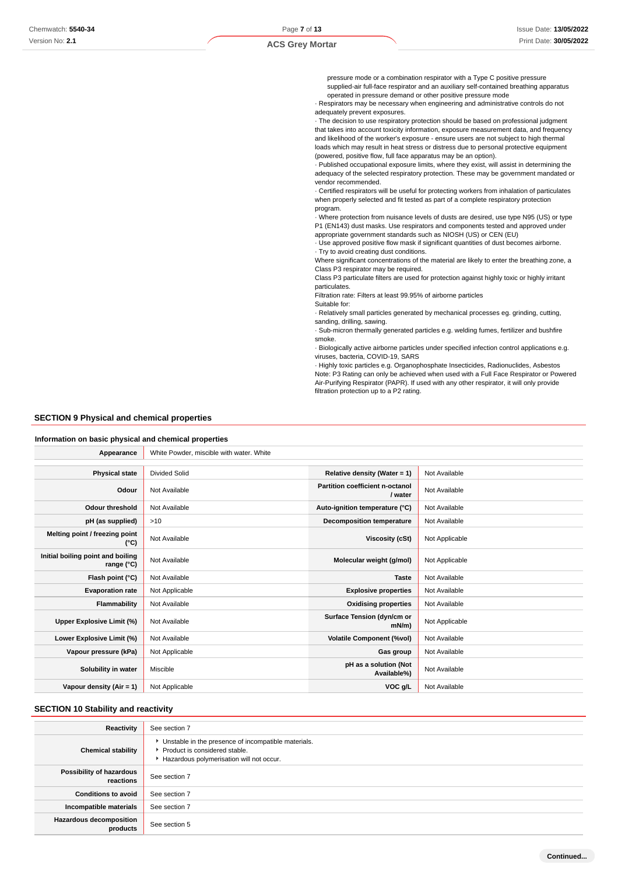pressure mode or a combination respirator with a Type C positive pressure supplied-air full-face respirator and an auxiliary self-contained breathing apparatus operated in pressure demand or other positive pressure mode

· Respirators may be necessary when engineering and administrative controls do not adequately prevent exposures.

· The decision to use respiratory protection should be based on professional judgment that takes into account toxicity information, exposure measurement data, and frequency and likelihood of the worker's exposure - ensure users are not subject to high thermal loads which may result in heat stress or distress due to personal protective equipment (powered, positive flow, full face apparatus may be an option).

· Published occupational exposure limits, where they exist, will assist in determining the adequacy of the selected respiratory protection. These may be government mandated or vendor recommended.

· Certified respirators will be useful for protecting workers from inhalation of particulates when properly selected and fit tested as part of a complete respiratory protection program.

· Where protection from nuisance levels of dusts are desired, use type N95 (US) or type P1 (EN143) dust masks. Use respirators and components tested and approved under appropriate government standards such as NIOSH (US) or CEN (EU)

· Use approved positive flow mask if significant quantities of dust becomes airborne. · Try to avoid creating dust conditions.

Where significant concentrations of the material are likely to enter the breathing zone, a Class P3 respirator may be required.

Class P3 particulate filters are used for protection against highly toxic or highly irritant particulates.

Filtration rate: Filters at least 99.95% of airborne particles

Suitable for:

· Relatively small particles generated by mechanical processes eg. grinding, cutting, sanding, drilling, sawing.

· Sub-micron thermally generated particles e.g. welding fumes, fertilizer and bushfire smoke.

· Biologically active airborne particles under specified infection control applications e.g. viruses, bacteria, COVID-19, SARS

· Highly toxic particles e.g. Organophosphate Insecticides, Radionuclides, Asbestos Note: P3 Rating can only be achieved when used with a Full Face Respirator or Powered Air-Purifying Respirator (PAPR). If used with any other respirator, it will only provide filtration protection up to a P2 rating.

#### **SECTION 9 Physical and chemical properties**

#### **Information on basic physical and chemical properties**

| Appearance                                      | White Powder, miscible with water. White |                                                   |                |
|-------------------------------------------------|------------------------------------------|---------------------------------------------------|----------------|
|                                                 |                                          |                                                   |                |
| <b>Physical state</b>                           | <b>Divided Solid</b>                     | Relative density (Water = 1)                      | Not Available  |
| Odour                                           | Not Available                            | <b>Partition coefficient n-octanol</b><br>/ water | Not Available  |
| <b>Odour threshold</b>                          | Not Available                            | Auto-ignition temperature (°C)                    | Not Available  |
| pH (as supplied)                                | >10                                      | <b>Decomposition temperature</b>                  | Not Available  |
| Melting point / freezing point<br>(°C)          | Not Available                            | <b>Viscosity (cSt)</b>                            | Not Applicable |
| Initial boiling point and boiling<br>range (°C) | Not Available                            | Molecular weight (g/mol)                          | Not Applicable |
| Flash point (°C)                                | Not Available                            | <b>Taste</b>                                      | Not Available  |
| <b>Evaporation rate</b>                         | Not Applicable                           | <b>Explosive properties</b>                       | Not Available  |
| Flammability                                    | Not Available                            | <b>Oxidising properties</b>                       | Not Available  |
| Upper Explosive Limit (%)                       | Not Available                            | Surface Tension (dyn/cm or<br>$mN/m$ )            | Not Applicable |
| Lower Explosive Limit (%)                       | Not Available                            | <b>Volatile Component (%vol)</b>                  | Not Available  |
| Vapour pressure (kPa)                           | Not Applicable                           | Gas group                                         | Not Available  |
| Solubility in water                             | Miscible                                 | pH as a solution (Not<br>Available%)              | Not Available  |
| Vapour density (Air = 1)                        | Not Applicable                           | VOC g/L                                           | Not Available  |

#### **SECTION 10 Stability and reactivity**

| Reactivity                                 | See section 7                                                                                                                        |
|--------------------------------------------|--------------------------------------------------------------------------------------------------------------------------------------|
| <b>Chemical stability</b>                  | • Unstable in the presence of incompatible materials.<br>▶ Product is considered stable.<br>Hazardous polymerisation will not occur. |
| Possibility of hazardous<br>reactions      | See section 7                                                                                                                        |
| <b>Conditions to avoid</b>                 | See section 7                                                                                                                        |
| Incompatible materials                     | See section 7                                                                                                                        |
| <b>Hazardous decomposition</b><br>products | See section 5                                                                                                                        |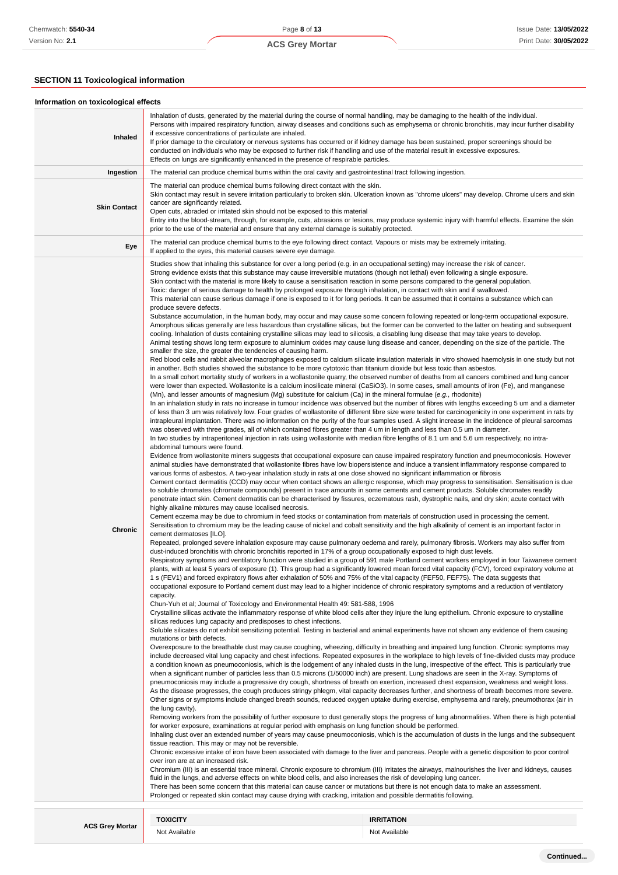## **SECTION 11 Toxicological information**

| Information on toxicological effects |                                                                                                                                                                                                                                                                                                                                                                                                                                                                                                                                                                                                                                                                                                                                                                                                                                                                                                                                                                                                                                                                                                                                                                                                                                                                                                                                                                                                                                                                                                                                                                                                                                                                                                                                                                                                                                                                                                                                                                                                                                                                                                                                                                                                                                                                                                                                                                                                                                                                                                                                                                                                                                                                                                                                                                                                                                                                                                                                                                                                                                                                                                                                                                                                                                                                                                                                                                                                                                                                                                                                                                                                                                                                                                                                                                                                                                                                                                                                                                                                                                                                                                                                                                                                                                                                                                                                                                                                                                                                                                                                                                                                                                                                                                                                                                                                                                                                                                                                                                                                                                                                                                                                                                                                                                                                                                                                                                                                                                                                                                                                                                                                                                                                                                                                                                                                                                                                                                                                                                                                                                                                                                                                                                                                                                                                                                                                                                                                                                                                                                                                                                                                                                                                                                                                                                                                                                                                                                                                                                                                                                                                                                                                                                                                                                                                                                                                                                                                                                                                                                                                                                                                                                                                                                                                                                              |                                    |  |  |
|--------------------------------------|------------------------------------------------------------------------------------------------------------------------------------------------------------------------------------------------------------------------------------------------------------------------------------------------------------------------------------------------------------------------------------------------------------------------------------------------------------------------------------------------------------------------------------------------------------------------------------------------------------------------------------------------------------------------------------------------------------------------------------------------------------------------------------------------------------------------------------------------------------------------------------------------------------------------------------------------------------------------------------------------------------------------------------------------------------------------------------------------------------------------------------------------------------------------------------------------------------------------------------------------------------------------------------------------------------------------------------------------------------------------------------------------------------------------------------------------------------------------------------------------------------------------------------------------------------------------------------------------------------------------------------------------------------------------------------------------------------------------------------------------------------------------------------------------------------------------------------------------------------------------------------------------------------------------------------------------------------------------------------------------------------------------------------------------------------------------------------------------------------------------------------------------------------------------------------------------------------------------------------------------------------------------------------------------------------------------------------------------------------------------------------------------------------------------------------------------------------------------------------------------------------------------------------------------------------------------------------------------------------------------------------------------------------------------------------------------------------------------------------------------------------------------------------------------------------------------------------------------------------------------------------------------------------------------------------------------------------------------------------------------------------------------------------------------------------------------------------------------------------------------------------------------------------------------------------------------------------------------------------------------------------------------------------------------------------------------------------------------------------------------------------------------------------------------------------------------------------------------------------------------------------------------------------------------------------------------------------------------------------------------------------------------------------------------------------------------------------------------------------------------------------------------------------------------------------------------------------------------------------------------------------------------------------------------------------------------------------------------------------------------------------------------------------------------------------------------------------------------------------------------------------------------------------------------------------------------------------------------------------------------------------------------------------------------------------------------------------------------------------------------------------------------------------------------------------------------------------------------------------------------------------------------------------------------------------------------------------------------------------------------------------------------------------------------------------------------------------------------------------------------------------------------------------------------------------------------------------------------------------------------------------------------------------------------------------------------------------------------------------------------------------------------------------------------------------------------------------------------------------------------------------------------------------------------------------------------------------------------------------------------------------------------------------------------------------------------------------------------------------------------------------------------------------------------------------------------------------------------------------------------------------------------------------------------------------------------------------------------------------------------------------------------------------------------------------------------------------------------------------------------------------------------------------------------------------------------------------------------------------------------------------------------------------------------------------------------------------------------------------------------------------------------------------------------------------------------------------------------------------------------------------------------------------------------------------------------------------------------------------------------------------------------------------------------------------------------------------------------------------------------------------------------------------------------------------------------------------------------------------------------------------------------------------------------------------------------------------------------------------------------------------------------------------------------------------------------------------------------------------------------------------------------------------------------------------------------------------------------------------------------------------------------------------------------------------------------------------------------------------------------------------------------------------------------------------------------------------------------------------------------------------------------------------------------------------------------------------------------------------------------------------------------------------------------------------------------------------------------------------------------------------------------------------------------------------------------------------------------------------------------------------------------------------------------------------------------------------------------------------------------------------------------------------------------------------------------------------------------------------------------------------------------------|------------------------------------|--|--|
| Inhaled                              | Inhalation of dusts, generated by the material during the course of normal handling, may be damaging to the health of the individual.<br>Persons with impaired respiratory function, airway diseases and conditions such as emphysema or chronic bronchitis, may incur further disability<br>if excessive concentrations of particulate are inhaled.<br>If prior damage to the circulatory or nervous systems has occurred or if kidney damage has been sustained, proper screenings should be<br>conducted on individuals who may be exposed to further risk if handling and use of the material result in excessive exposures.<br>Effects on lungs are significantly enhanced in the presence of respirable particles.                                                                                                                                                                                                                                                                                                                                                                                                                                                                                                                                                                                                                                                                                                                                                                                                                                                                                                                                                                                                                                                                                                                                                                                                                                                                                                                                                                                                                                                                                                                                                                                                                                                                                                                                                                                                                                                                                                                                                                                                                                                                                                                                                                                                                                                                                                                                                                                                                                                                                                                                                                                                                                                                                                                                                                                                                                                                                                                                                                                                                                                                                                                                                                                                                                                                                                                                                                                                                                                                                                                                                                                                                                                                                                                                                                                                                                                                                                                                                                                                                                                                                                                                                                                                                                                                                                                                                                                                                                                                                                                                                                                                                                                                                                                                                                                                                                                                                                                                                                                                                                                                                                                                                                                                                                                                                                                                                                                                                                                                                                                                                                                                                                                                                                                                                                                                                                                                                                                                                                                                                                                                                                                                                                                                                                                                                                                                                                                                                                                                                                                                                                                                                                                                                                                                                                                                                                                                                                                                                                                                                                                     |                                    |  |  |
| Ingestion                            | The material can produce chemical burns within the oral cavity and gastrointestinal tract following ingestion.                                                                                                                                                                                                                                                                                                                                                                                                                                                                                                                                                                                                                                                                                                                                                                                                                                                                                                                                                                                                                                                                                                                                                                                                                                                                                                                                                                                                                                                                                                                                                                                                                                                                                                                                                                                                                                                                                                                                                                                                                                                                                                                                                                                                                                                                                                                                                                                                                                                                                                                                                                                                                                                                                                                                                                                                                                                                                                                                                                                                                                                                                                                                                                                                                                                                                                                                                                                                                                                                                                                                                                                                                                                                                                                                                                                                                                                                                                                                                                                                                                                                                                                                                                                                                                                                                                                                                                                                                                                                                                                                                                                                                                                                                                                                                                                                                                                                                                                                                                                                                                                                                                                                                                                                                                                                                                                                                                                                                                                                                                                                                                                                                                                                                                                                                                                                                                                                                                                                                                                                                                                                                                                                                                                                                                                                                                                                                                                                                                                                                                                                                                                                                                                                                                                                                                                                                                                                                                                                                                                                                                                                                                                                                                                                                                                                                                                                                                                                                                                                                                                                                                                                                                                               |                                    |  |  |
| <b>Skin Contact</b>                  | The material can produce chemical burns following direct contact with the skin.<br>Skin contact may result in severe irritation particularly to broken skin. Ulceration known as "chrome ulcers" may develop. Chrome ulcers and skin<br>cancer are significantly related.<br>Open cuts, abraded or irritated skin should not be exposed to this material<br>Entry into the blood-stream, through, for example, cuts, abrasions or lesions, may produce systemic injury with harmful effects. Examine the skin<br>prior to the use of the material and ensure that any external damage is suitably protected.                                                                                                                                                                                                                                                                                                                                                                                                                                                                                                                                                                                                                                                                                                                                                                                                                                                                                                                                                                                                                                                                                                                                                                                                                                                                                                                                                                                                                                                                                                                                                                                                                                                                                                                                                                                                                                                                                                                                                                                                                                                                                                                                                                                                                                                                                                                                                                                                                                                                                                                                                                                                                                                                                                                                                                                                                                                                                                                                                                                                                                                                                                                                                                                                                                                                                                                                                                                                                                                                                                                                                                                                                                                                                                                                                                                                                                                                                                                                                                                                                                                                                                                                                                                                                                                                                                                                                                                                                                                                                                                                                                                                                                                                                                                                                                                                                                                                                                                                                                                                                                                                                                                                                                                                                                                                                                                                                                                                                                                                                                                                                                                                                                                                                                                                                                                                                                                                                                                                                                                                                                                                                                                                                                                                                                                                                                                                                                                                                                                                                                                                                                                                                                                                                                                                                                                                                                                                                                                                                                                                                                                                                                                                                                 |                                    |  |  |
| Eye                                  | The material can produce chemical burns to the eye following direct contact. Vapours or mists may be extremely irritating.<br>If applied to the eyes, this material causes severe eye damage.                                                                                                                                                                                                                                                                                                                                                                                                                                                                                                                                                                                                                                                                                                                                                                                                                                                                                                                                                                                                                                                                                                                                                                                                                                                                                                                                                                                                                                                                                                                                                                                                                                                                                                                                                                                                                                                                                                                                                                                                                                                                                                                                                                                                                                                                                                                                                                                                                                                                                                                                                                                                                                                                                                                                                                                                                                                                                                                                                                                                                                                                                                                                                                                                                                                                                                                                                                                                                                                                                                                                                                                                                                                                                                                                                                                                                                                                                                                                                                                                                                                                                                                                                                                                                                                                                                                                                                                                                                                                                                                                                                                                                                                                                                                                                                                                                                                                                                                                                                                                                                                                                                                                                                                                                                                                                                                                                                                                                                                                                                                                                                                                                                                                                                                                                                                                                                                                                                                                                                                                                                                                                                                                                                                                                                                                                                                                                                                                                                                                                                                                                                                                                                                                                                                                                                                                                                                                                                                                                                                                                                                                                                                                                                                                                                                                                                                                                                                                                                                                                                                                                                                |                                    |  |  |
| Chronic                              | Studies show that inhaling this substance for over a long period (e.g. in an occupational setting) may increase the risk of cancer.<br>Strong evidence exists that this substance may cause irreversible mutations (though not lethal) even following a single exposure.<br>Skin contact with the material is more likely to cause a sensitisation reaction in some persons compared to the general population.<br>Toxic: danger of serious damage to health by prolonged exposure through inhalation, in contact with skin and if swallowed.<br>This material can cause serious damage if one is exposed to it for long periods. It can be assumed that it contains a substance which can<br>produce severe defects.<br>Substance accumulation, in the human body, may occur and may cause some concern following repeated or long-term occupational exposure.<br>Amorphous silicas generally are less hazardous than crystalline silicas, but the former can be converted to the latter on heating and subsequent<br>cooling. Inhalation of dusts containing crystalline silicas may lead to silicosis, a disabling lung disease that may take years to develop.<br>Animal testing shows long term exposure to aluminium oxides may cause lung disease and cancer, depending on the size of the particle. The<br>smaller the size, the greater the tendencies of causing harm.<br>Red blood cells and rabbit alveolar macrophages exposed to calcium silicate insulation materials in vitro showed haemolysis in one study but not<br>in another. Both studies showed the substance to be more cytotoxic than titanium dioxide but less toxic than asbestos.<br>In a small cohort mortality study of workers in a wollastonite quarry, the observed number of deaths from all cancers combined and lung cancer<br>were lower than expected. Wollastonite is a calcium inosilicate mineral (CaSiO3). In some cases, small amounts of iron (Fe), and manganese<br>(Mn), and lesser amounts of magnesium (Mg) substitute for calcium (Ca) in the mineral formulae (e.g., rhodonite)<br>In an inhalation study in rats no increase in tumour incidence was observed but the number of fibres with lengths exceeding 5 um and a diameter<br>of less than 3 um was relatively low. Four grades of wollastonite of different fibre size were tested for carcinogenicity in one experiment in rats by<br>intrapleural implantation. There was no information on the purity of the four samples used. A slight increase in the incidence of pleural sarcomas<br>was observed with three grades, all of which contained fibres greater than 4 um in length and less than 0.5 um in diameter.<br>In two studies by intraperitoneal injection in rats using wollastonite with median fibre lengths of 8.1 um and 5.6 um respectively, no intra-<br>abdominal tumours were found.<br>Evidence from wollastonite miners suggests that occupational exposure can cause impaired respiratory function and pneumoconiosis. However<br>animal studies have demonstrated that wollastonite fibres have low biopersistence and induce a transient inflammatory response compared to<br>various forms of asbestos. A two-year inhalation study in rats at one dose showed no significant inflammation or fibrosis<br>Cement contact dermatitis (CCD) may occur when contact shows an allergic response, which may progress to sensitisation. Sensitisation is due<br>to soluble chromates (chromate compounds) present in trace amounts in some cements and cement products. Soluble chromates readily<br>penetrate intact skin. Cement dermatitis can be characterised by fissures, eczematous rash, dystrophic nails, and dry skin; acute contact with<br>highly alkaline mixtures may cause localised necrosis.<br>Cement eczema may be due to chromium in feed stocks or contamination from materials of construction used in processing the cement.<br>Sensitisation to chromium may be the leading cause of nickel and cobalt sensitivity and the high alkalinity of cement is an important factor in<br>cement dermatoses [ILO].<br>Repeated, prolonged severe inhalation exposure may cause pulmonary oedema and rarely, pulmonary fibrosis. Workers may also suffer from<br>dust-induced bronchitis with chronic bronchitis reported in 17% of a group occupationally exposed to high dust levels.<br>Respiratory symptoms and ventilatory function were studied in a group of 591 male Portland cement workers employed in four Taiwanese cement<br>plants, with at least 5 years of exposure (1). This group had a significantly lowered mean forced vital capacity (FCV), forced expiratory volume at<br>1 s (FEV1) and forced expiratory flows after exhalation of 50% and 75% of the vital capacity (FEF50, FEF75). The data suggests that<br>occupational exposure to Portland cement dust may lead to a higher incidence of chronic respiratory symptoms and a reduction of ventilatory<br>capacity.<br>Chun-Yuh et al; Journal of Toxicology and Environmental Health 49: 581-588, 1996<br>Crystalline silicas activate the inflammatory response of white blood cells after they injure the lung epithelium. Chronic exposure to crystalline<br>silicas reduces lung capacity and predisposes to chest infections.<br>Soluble silicates do not exhibit sensitizing potential. Testing in bacterial and animal experiments have not shown any evidence of them causing<br>mutations or birth defects.<br>Overexposure to the breathable dust may cause coughing, wheezing, difficulty in breathing and impaired lung function. Chronic symptoms may<br>include decreased vital lung capacity and chest infections. Repeated exposures in the workplace to high levels of fine-divided dusts may produce<br>a condition known as pneumoconiosis, which is the lodgement of any inhaled dusts in the lung, irrespective of the effect. This is particularly true<br>when a significant number of particles less than 0.5 microns (1/50000 inch) are present. Lung shadows are seen in the X-ray. Symptoms of<br>pneumoconiosis may include a progressive dry cough, shortness of breath on exertion, increased chest expansion, weakness and weight loss.<br>As the disease progresses, the cough produces stringy phlegm, vital capacity decreases further, and shortness of breath becomes more severe.<br>Other signs or symptoms include changed breath sounds, reduced oxygen uptake during exercise, emphysema and rarely, pneumothorax (air in<br>the lung cavity).<br>Removing workers from the possibility of further exposure to dust generally stops the progress of lung abnormalities. When there is high potential<br>for worker exposure, examinations at regular period with emphasis on lung function should be performed.<br>Inhaling dust over an extended number of years may cause pneumoconiosis, which is the accumulation of dusts in the lungs and the subsequent<br>tissue reaction. This may or may not be reversible.<br>Chronic excessive intake of iron have been associated with damage to the liver and pancreas. People with a genetic disposition to poor control<br>over iron are at an increased risk.<br>Chromium (III) is an essential trace mineral. Chronic exposure to chromium (III) irritates the airways, malnourishes the liver and kidneys, causes<br>fluid in the lungs, and adverse effects on white blood cells, and also increases the risk of developing lung cancer.<br>There has been some concern that this material can cause cancer or mutations but there is not enough data to make an assessment.<br>Prolonged or repeated skin contact may cause drying with cracking, irritation and possible dermatitis following. |                                    |  |  |
| <b>ACS Grey Mortar</b>               | <b>TOXICITY</b><br>Not Available                                                                                                                                                                                                                                                                                                                                                                                                                                                                                                                                                                                                                                                                                                                                                                                                                                                                                                                                                                                                                                                                                                                                                                                                                                                                                                                                                                                                                                                                                                                                                                                                                                                                                                                                                                                                                                                                                                                                                                                                                                                                                                                                                                                                                                                                                                                                                                                                                                                                                                                                                                                                                                                                                                                                                                                                                                                                                                                                                                                                                                                                                                                                                                                                                                                                                                                                                                                                                                                                                                                                                                                                                                                                                                                                                                                                                                                                                                                                                                                                                                                                                                                                                                                                                                                                                                                                                                                                                                                                                                                                                                                                                                                                                                                                                                                                                                                                                                                                                                                                                                                                                                                                                                                                                                                                                                                                                                                                                                                                                                                                                                                                                                                                                                                                                                                                                                                                                                                                                                                                                                                                                                                                                                                                                                                                                                                                                                                                                                                                                                                                                                                                                                                                                                                                                                                                                                                                                                                                                                                                                                                                                                                                                                                                                                                                                                                                                                                                                                                                                                                                                                                                                                                                                                                                             | <b>IRRITATION</b><br>Not Available |  |  |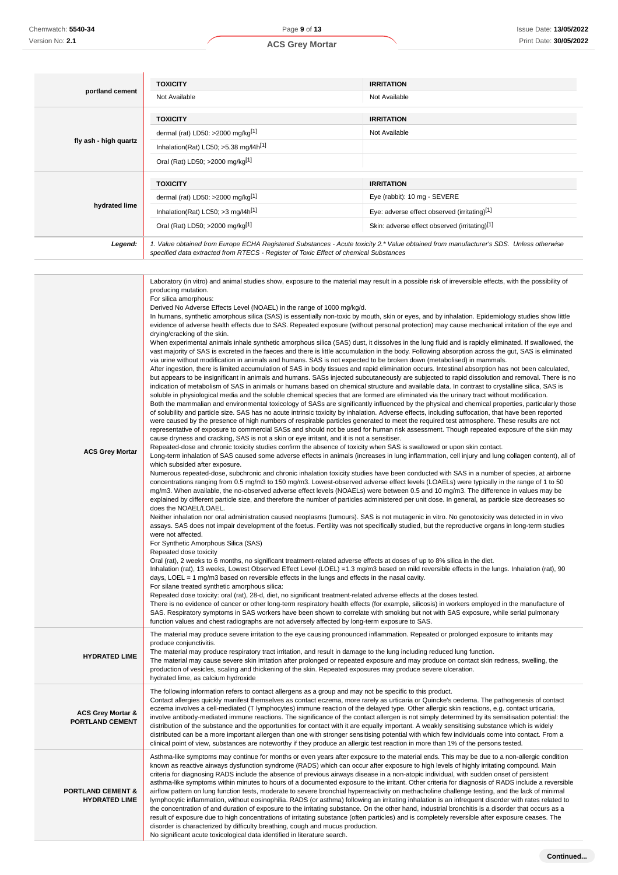|                       | <b>TOXICITY</b>                                                                                                                                                                                                                 | <b>IRRITATION</b>                                                                                                                                                                                                                                                                                          |  |  |
|-----------------------|---------------------------------------------------------------------------------------------------------------------------------------------------------------------------------------------------------------------------------|------------------------------------------------------------------------------------------------------------------------------------------------------------------------------------------------------------------------------------------------------------------------------------------------------------|--|--|
| portland cement       | Not Available                                                                                                                                                                                                                   | Not Available                                                                                                                                                                                                                                                                                              |  |  |
|                       | <b>TOXICITY</b>                                                                                                                                                                                                                 | <b>IRRITATION</b>                                                                                                                                                                                                                                                                                          |  |  |
|                       | dermal (rat) LD50: >2000 mg/kg[1]                                                                                                                                                                                               | Not Available                                                                                                                                                                                                                                                                                              |  |  |
| fly ash - high quartz | Inhalation(Rat) LC50; $>5.38$ mg/l4h <sup>[1]</sup>                                                                                                                                                                             |                                                                                                                                                                                                                                                                                                            |  |  |
|                       | Oral (Rat) LD50; >2000 mg/kg[1]                                                                                                                                                                                                 |                                                                                                                                                                                                                                                                                                            |  |  |
|                       | <b>TOXICITY</b>                                                                                                                                                                                                                 | <b>IRRITATION</b>                                                                                                                                                                                                                                                                                          |  |  |
|                       | dermal (rat) LD50: >2000 mg/kg[1]                                                                                                                                                                                               | Eye (rabbit): 10 mg - SEVERE                                                                                                                                                                                                                                                                               |  |  |
| hydrated lime         | Inhalation(Rat) LC50; $>3$ mg/l4h <sup>[1]</sup>                                                                                                                                                                                | Eye: adverse effect observed (irritating)[1]                                                                                                                                                                                                                                                               |  |  |
|                       | Oral (Rat) LD50; >2000 mg/kg[1]                                                                                                                                                                                                 | Skin: adverse effect observed (irritating)[1]                                                                                                                                                                                                                                                              |  |  |
| Legend:               | 1. Value obtained from Europe ECHA Registered Substances - Acute toxicity 2.* Value obtained from manufacturer's SDS. Unless otherwise<br>specified data extracted from RTECS - Register of Toxic Effect of chemical Substances |                                                                                                                                                                                                                                                                                                            |  |  |
|                       |                                                                                                                                                                                                                                 |                                                                                                                                                                                                                                                                                                            |  |  |
|                       | producing mutation.                                                                                                                                                                                                             | Laboratory (in vitro) and animal studies show, exposure to the material may result in a possible risk of irreversible effects, with the possibility of                                                                                                                                                     |  |  |
|                       | For silica amorphous:                                                                                                                                                                                                           |                                                                                                                                                                                                                                                                                                            |  |  |
|                       | Derived No Adverse Effects Level (NOAEL) in the range of 1000 mg/kg/d.                                                                                                                                                          | In humans, synthetic amorphous silica (SAS) is essentially non-toxic by mouth, skin or eyes, and by inhalation. Epidemiology studies show little                                                                                                                                                           |  |  |
|                       | drying/cracking of the skin.                                                                                                                                                                                                    | evidence of adverse health effects due to SAS. Repeated exposure (without personal protection) may cause mechanical irritation of the eye and                                                                                                                                                              |  |  |
|                       |                                                                                                                                                                                                                                 | When experimental animals inhale synthetic amorphous silica (SAS) dust, it dissolves in the lung fluid and is rapidly eliminated. If swallowed, the<br>vast majority of SAS is excreted in the faeces and there is little accumulation in the body. Following absorption across the qut. SAS is eliminated |  |  |

vast majority of SAS is excreted in the faeces and there is little accumulation in the body. Following absorption across the gut, SAS is eliminated via urine without modification in animals and humans. SAS is not expected to be broken down (metabolised) in mammals. After ingestion, there is limited accumulation of SAS in body tissues and rapid elimination occurs. Intestinal absorption has not been calculated,

but appears to be insignificant in animals and humans. SASs injected subcutaneously are subjected to rapid dissolution and removal. There is no indication of metabolism of SAS in animals or humans based on chemical structure and available data. In contrast to crystalline silica, SAS is soluble in physiological media and the soluble chemical species that are formed are eliminated via the urinary tract without modification. Both the mammalian and environmental toxicology of SASs are significantly influenced by the physical and chemical properties, particularly those

of solubility and particle size. SAS has no acute intrinsic toxicity by inhalation. Adverse effects, including suffocation, that have been reported were caused by the presence of high numbers of respirable particles generated to meet the required test atmosphere. These results are not representative of exposure to commercial SASs and should not be used for human risk assessment. Though repeated exposure of the skin may cause dryness and cracking, SAS is not a skin or eye irritant, and it is not a sensitiser.

Repeated-dose and chronic toxicity studies confirm the absence of toxicity when SAS is swallowed or upon skin contact.

**ACS Grev Mortar** Long-term inhalation of SAS caused some adverse effects in animals (increases in lung inflammation, cell injury and lung collagen content), all of which subsided after exposure.

Numerous repeated-dose, subchronic and chronic inhalation toxicity studies have been conducted with SAS in a number of species, at airborne concentrations ranging from 0.5 mg/m3 to 150 mg/m3. Lowest-observed adverse effect levels (LOAELs) were typically in the range of 1 to 50 mg/m3. When available, the no-observed adverse effect levels (NOAELs) were between 0.5 and 10 mg/m3. The difference in values may be explained by different particle size, and therefore the number of particles administered per unit dose. In general, as particle size decreases so does the NOAEL / OAEL

Neither inhalation nor oral administration caused neoplasms (tumours). SAS is not mutagenic in vitro. No genotoxicity was detected in in vivo assays. SAS does not impair development of the foetus. Fertility was not specifically studied, but the reproductive organs in long-term studies were not affected.

For Synthetic Amorphous Silica (SAS)

Repeated dose toxicity

Oral (rat), 2 weeks to 6 months, no significant treatment-related adverse effects at doses of up to 8% silica in the diet.

Inhalation (rat), 13 weeks, Lowest Observed Effect Level (LOEL) =1.3 mg/m3 based on mild reversible effects in the lungs. Inhalation (rat), 90 days, LOEL = 1 mg/m3 based on reversible effects in the lungs and effects in the nasal cavity.

For silane treated synthetic amorphous silica:

Repeated dose toxicity: oral (rat), 28-d, diet, no significant treatment-related adverse effects at the doses tested.

There is no evidence of cancer or other long-term respiratory health effects (for example, silicosis) in workers employed in the manufacture of SAS. Respiratory symptoms in SAS workers have been shown to correlate with smoking but not with SAS exposure, while serial pulmonary function values and chest radiographs are not adversely affected by long-term exposure to SAS.

The material may produce severe irritation to the eye causing pronounced inflammation. Repeated or prolonged exposure to irritants may produce conjunctivitis.

**HYDRATED LIME** The material may produce respiratory tract irritation, and result in damage to the lung including reduced lung function. The material may cause severe skin irritation after prolonged or repeated exposure and may produce on contact skin redness, swelling, the

The following information refers to contact allergens as a group and may not be specific to this product.

production of vesicles, scaling and thickening of the skin. Repeated exposures may produce severe ulceration.

hydrated lime, as calcium hydroxide

**ACS Grey Mortar & PORTLAND CEMENT**

involve antibody-mediated immune reactions. The significance of the contact allergen is not simply determined by its sensitisation potential: the distribution of the substance and the opportunities for contact with it are equally important. A weakly sensitising substance which is widely distributed can be a more important allergen than one with stronger sensitising potential with which few individuals come into contact. From a clinical point of view, substances are noteworthy if they produce an allergic test reaction in more than 1% of the persons tested.

Asthma-like symptoms may continue for months or even years after exposure to the material ends. This may be due to a non-allergic condition

Contact allergies quickly manifest themselves as contact eczema, more rarely as urticaria or Quincke's oedema. The pathogenesis of contact eczema involves a cell-mediated (T lymphocytes) immune reaction of the delayed type. Other allergic skin reactions, e.g. contact urticaria,

**PORTLAND CEMENT & HYDRATED LIME** known as reactive airways dysfunction syndrome (RADS) which can occur after exposure to high levels of highly irritating compound. Main criteria for diagnosing RADS include the absence of previous airways disease in a non-atopic individual, with sudden onset of persistent asthma-like symptoms within minutes to hours of a documented exposure to the irritant. Other criteria for diagnosis of RADS include a reversible airflow pattern on lung function tests, moderate to severe bronchial hyperreactivity on methacholine challenge testing, and the lack of minimal lymphocytic inflammation, without eosinophilia. RADS (or asthma) following an irritating inhalation is an infrequent disorder with rates related to the concentration of and duration of exposure to the irritating substance. On the other hand, industrial bronchitis is a disorder that occurs as a result of exposure due to high concentrations of irritating substance (often particles) and is completely reversible after exposure ceases. The disorder is characterized by difficulty breathing, cough and mucus production. No significant acute toxicological data identified in literature search.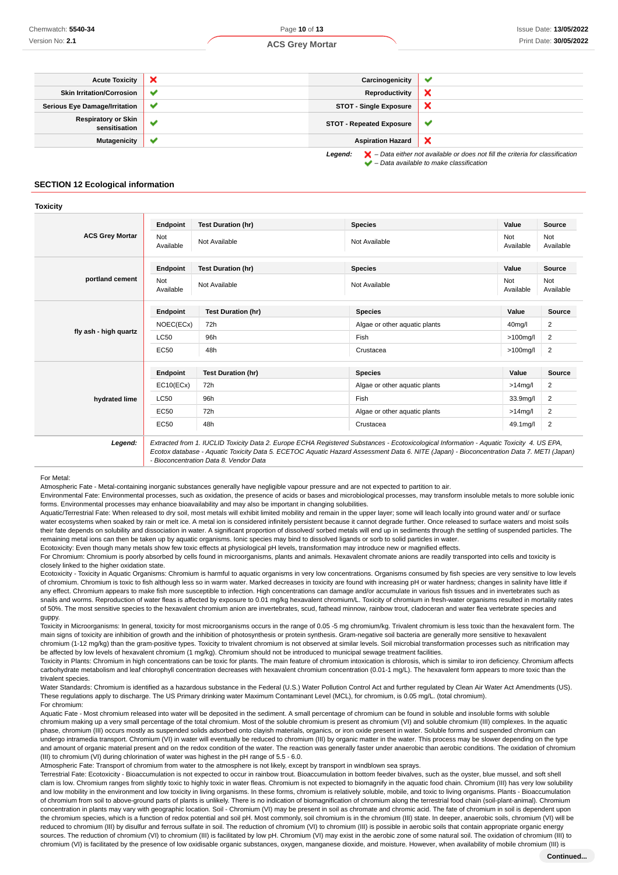**Toxicity**

| <b>Acute Toxicity</b>                                                                                         | $\boldsymbol{\mathsf{x}}$ | Carcinogenicity                 |        |
|---------------------------------------------------------------------------------------------------------------|---------------------------|---------------------------------|--------|
| <b>Skin Irritation/Corrosion</b>                                                                              | $\checkmark$              | Reproductivity                  |        |
| <b>Serious Eye Damage/Irritation</b>                                                                          | $\checkmark$              | <b>STOT - Single Exposure</b>   | ×      |
| <b>Respiratory or Skin</b><br>sensitisation                                                                   | $\checkmark$              | <b>STOT - Repeated Exposure</b> | $\sim$ |
| <b>Mutagenicity</b>                                                                                           | ✔                         | <b>Aspiration Hazard</b>        | ×      |
| $\blacktriangleright$ - Data either not available or does not fill the criteria for classification<br>Legend: |                           |                                 |        |

 $\blacktriangleright$  – Data available to make classification

#### **SECTION 12 Ecological information**

| <b>ACS Grey Mortar</b> | Endpoint                | <b>Test Duration (hr)</b> | <b>Species</b>                | Value            | Source           |
|------------------------|-------------------------|---------------------------|-------------------------------|------------------|------------------|
|                        | Not<br>Available        | Not Available             | Not Available                 | Not<br>Available | Not<br>Available |
|                        | Endpoint                | <b>Test Duration (hr)</b> | <b>Species</b>                | Value            | Source           |
| portland cement        | <b>Not</b><br>Available | Not Available             | Not Available                 | Not<br>Available | Not<br>Available |
| fly ash - high quartz  | Endpoint                | <b>Test Duration (hr)</b> | <b>Species</b>                | Value            | <b>Source</b>    |
|                        | NOEC(ECx)               | 72h                       | Algae or other aquatic plants | 40mg/l           | 2                |
|                        | <b>LC50</b>             | 96h                       | Fish                          | $>100$ mg/l      | 2                |
|                        | <b>EC50</b>             | 48h                       | Crustacea                     | $>100$ mg/l      | 2                |
|                        | Endpoint                | <b>Test Duration (hr)</b> | <b>Species</b>                | Value            | <b>Source</b>    |
|                        | EC10(ECx)               | 72h                       | Algae or other aquatic plants | $>14$ mg/l       | 2                |
| hydrated lime          | <b>LC50</b>             | 96h                       | Fish                          | 33.9mg/l         | 2                |
|                        | <b>EC50</b>             | 72h                       | Algae or other aquatic plants | $>14$ mg/l       | 2                |
|                        | <b>EC50</b>             | 48h                       | Crustacea                     | 49.1mg/l         | $\overline{2}$   |

Ecotox database - Aquatic Toxicity Data 5. ECETOC Aquatic Hazard Assessment Data 6. NITE (Japan) - Bioconcentration Data 7. METI (Japan) - Bioconcentration Data 8. Vendor Data

#### For Metal:

Atmospheric Fate - Metal-containing inorganic substances generally have negligible vapour pressure and are not expected to partition to air.

Environmental Fate: Environmental processes, such as oxidation, the presence of acids or bases and microbiological processes, may transform insoluble metals to more soluble ionic forms. Environmental processes may enhance bioavailability and may also be important in changing solubilities.

Aquatic/Terrestrial Fate: When released to dry soil, most metals will exhibit limited mobility and remain in the upper layer; some will leach locally into ground water and/ or surface water ecosystems when soaked by rain or melt ice. A metal ion is considered infinitely persistent because it cannot degrade further. Once released to surface waters and moist soils their fate depends on solubility and dissociation in water. A significant proportion of dissolved/ sorbed metals will end up in sediments through the settling of suspended particles. The remaining metal ions can then be taken up by aquatic organisms. Ionic species may bind to dissolved ligands or sorb to solid particles in water.

Ecotoxicity: Even though many metals show few toxic effects at physiological pH levels, transformation may introduce new or magnified effects.

For Chromium: Chromium is poorly absorbed by cells found in microorganisms, plants and animals. Hexavalent chromate anions are readily transported into cells and toxicity is closely linked to the higher oxidation state.

Ecotoxicity - Toxicity in Aquatic Organisms: Chromium is harmful to aquatic organisms in very low concentrations. Organisms consumed by fish species are very sensitive to low levels of chromium. Chromium is toxic to fish although less so in warm water. Marked decreases in toxicity are found with increasing pH or water hardness; changes in salinity have little if any effect. Chromium appears to make fish more susceptible to infection. High concentrations can damage and/or accumulate in various fish tissues and in invertebrates such as snails and worms. Reproduction of water fleas is affected by exposure to 0.01 mg/kg hexavalent chromium/L. Toxicity of chromium in fresh-water organisms resulted in mortality rates of 50%. The most sensitive species to the hexavalent chromium anion are invertebrates, scud, fathead minnow, rainbow trout, cladoceran and water flea vertebrate species and guppy.

Toxicity in Microorganisms: In general, toxicity for most microorganisms occurs in the range of 0.05 -5 mg chromium/kg. Trivalent chromium is less toxic than the hexavalent form. The main signs of toxicity are inhibition of growth and the inhibition of photosynthesis or protein synthesis. Gram-negative soil bacteria are generally more sensitive to hexavalent chromium (1-12 mg/kg) than the gram-positive types. Toxicity to trivalent chromium is not observed at similar levels. Soil microbial transformation processes such as nitrification may be affected by low levels of hexavalent chromium (1 mg/kg). Chromium should not be introduced to municipal sewage treatment facilities.

Toxicity in Plants: Chromium in high concentrations can be toxic for plants. The main feature of chromium intoxication is chlorosis, which is similar to iron deficiency. Chromium affects carbohydrate metabolism and leaf chlorophyll concentration decreases with hexavalent chromium concentration (0.01-1 mg/L). The hexavalent form appears to more toxic than the trivalent species.

Water Standards: Chromium is identified as a hazardous substance in the Federal (U.S.) Water Pollution Control Act and further regulated by Clean Air Water Act Amendments (US). These regulations apply to discharge. The US Primary drinking water Maximum Contaminant Level (MCL), for chromium, is 0.05 mg/L. (total chromium). For chromium:

Aquatic Fate - Most chromium released into water will be deposited in the sediment. A small percentage of chromium can be found in soluble and insoluble forms with soluble chromium making up a very small percentage of the total chromium. Most of the soluble chromium is present as chromium (VI) and soluble chromium (III) complexes. In the aquatic phase, chromium (III) occurs mostly as suspended solids adsorbed onto clayish materials, organics, or iron oxide present in water. Soluble forms and suspended chromium can undergo intramedia transport. Chromium (VI) in water will eventually be reduced to chromium (III) by organic matter in the water. This process may be slower depending on the type and amount of organic material present and on the redox condition of the water. The reaction was generally faster under anaerobic than aerobic conditions. The oxidation of chromium (III) to chromium (VI) during chlorination of water was highest in the pH range of 5.5 - 6.0.

Atmospheric Fate: Transport of chromium from water to the atmosphere is not likely, except by transport in windblown sea sprays.

Terrestrial Fate: Ecotoxicity - Bioaccumulation is not expected to occur in rainbow trout. Bioaccumulation in bottom feeder bivalves, such as the oyster, blue mussel, and soft shell clam is low. Chromium ranges from slightly toxic to highly toxic in water fleas. Chromium is not expected to biomagnify in the aquatic food chain. Chromium (III) has very low solubility and low mobility in the environment and low toxicity in living organisms. In these forms, chromium is relatively soluble, mobile, and toxic to living organisms. Plants - Bioaccumulation of chromium from soil to above-ground parts of plants is unlikely. There is no indication of biomagnification of chromium along the terrestrial food chain (soil-plant-animal). Chromium concentration in plants may vary with geographic location. Soil - Chromium (VI) may be present in soil as chromate and chromic acid. The fate of chromium in soil is dependent upon the chromium species, which is a function of redox potential and soil pH. Most commonly, soil chromium is in the chromium (III) state. In deeper, anaerobic soils, chromium (VI) will be reduced to chromium (III) by disulfur and ferrous sulfate in soil. The reduction of chromium (VI) to chromium (III) is possible in aerobic soils that contain appropriate organic energy sources. The reduction of chromium (VI) to chromium (III) is facilitated by low pH. Chromium (VI) may exist in the aerobic zone of some natural soil. The oxidation of chromium (III) to chromium (VI) is facilitated by the presence of low oxidisable organic substances, oxygen, manganese dioxide, and moisture. However, when availability of mobile chromium (III) is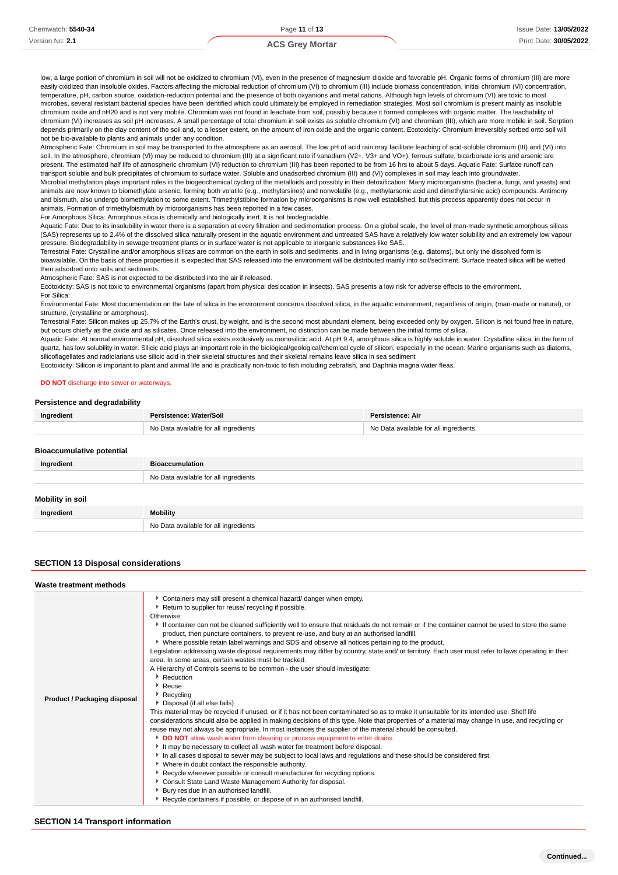low, a large portion of chromium in soil will not be oxidized to chromium (VI), even in the presence of magnesium dioxide and favorable pH. Organic forms of chromium (III) are more easily oxidized than insoluble oxides. Factors affecting the microbial reduction of chromium (VI) to chromium (III) include biomass concentration, initial chromium (VI) concentration, temperature, pH, carbon source, oxidation-reduction potential and the presence of both oxyanions and metal cations. Although high levels of chromium (VI) are toxic to most microbes, several resistant bacterial species have been identified which could ultimately be employed in remediation strategies. Most soil chromium is present mainly as insoluble chromium oxide and nH20 and is not very mobile. Chromium was not found in leachate from soil, possibly because it formed complexes with organic matter. The leachability of chromium (VI) increases as soil pH increases. A small percentage of total chromium in soil exists as soluble chromium (VI) and chromium (III), which are more mobile in soil. Sorption depends primarily on the clay content of the soil and, to a lesser extent, on the amount of iron oxide and the organic content. Ecotoxicity: Chromium irreversibly sorbed onto soil will not be bio-available to plants and animals under any condition.

Atmospheric Fate: Chromium in soil may be transported to the atmosphere as an aerosol. The low pH of acid rain may facilitate leaching of acid-soluble chromium (III) and (VI) into soil. In the atmosphere, chromium (VI) may be reduced to chromium (III) at a significant rate if vanadium (V2+, V3+ and VO+), ferrous sulfate, bicarbonate ions and arsenic are present. The estimated half life of atmospheric chromium (VI) reduction to chromium (III) has been reported to be from 16 hrs to about 5 days. Aquatic Fate: Surface runoff can transport soluble and bulk precipitates of chromium to surface water. Soluble and unadsorbed chromium (III) and (VI) complexes in soil may leach into groundwater. Microbial methylation plays important roles in the biogeochemical cycling of the metalloids and possibly in their detoxification. Many microorganisms (bacteria, fungi, and yeasts) and animals are now known to biomethylate arsenic, forming both volatile (e.g., methylarsines) and nonvolatile (e.g., methylarsonic acid and dimethylarsinic acid) compounds. Antimony and bismuth, also undergo biomethylation to some extent. Trimethylstibine formation by microorganisms is now well established, but this process apparently does not occur in animals. Formation of trimethylbismuth by microorganisms has been reported in a few cases.

For Amorphous Silica: Amorphous silica is chemically and biologically inert. It is not biodegradable.

Aquatic Fate: Due to its insolubility in water there is a separation at every filtration and sedimentation process. On a global scale, the level of man-made synthetic amorphous silicas (SAS) represents up to 2.4% of the dissolved silica naturally present in the aquatic environment and untreated SAS have a relatively low water solubility and an extremely low vapour pressure. Biodegradability in sewage treatment plants or in surface water is not applicable to inorganic substances like SAS.

.<br>Terrestrial Fate: Crystalline and/or amorphous silicas are common on the earth in soils and sediments, and in living organisms (e.g. diatoms), but only the dissolved form is

bioavailable. On the basis of these properties it is expected that SAS released into the environment will be distributed mainly into soil/sediment. Surface treated silica will be wetted then adsorbed onto soils and sediments.

Atmospheric Fate: SAS is not expected to be distributed into the air if released.

Ecotoxicity: SAS is not toxic to environmental organisms (apart from physical desiccation in insects). SAS presents a low risk for adverse effects to the environment. For Silica:

Environmental Fate: Most documentation on the fate of silica in the environment concerns dissolved silica, in the aquatic environment, regardless of origin, (man-made or natural), or structure, (crystalline or amorphous).

Terrestrial Fate: Silicon makes up 25.7% of the Earth's crust, by weight, and is the second most abundant element, being exceeded only by oxygen. Silicon is not found free in nature, but occurs chiefly as the oxide and as silicates. Once released into the environment, no distinction can be made between the initial forms of silica.

Aquatic Fate: At normal environmental pH, dissolved silica exists exclusively as monosilicic acid. At pH 9.4, amorphous silica is highly soluble in water. Crystalline silica, in the form of quartz, has low solubility in water. Silicic acid plays an important role in the biological/geological/chemical cycle of silicon, especially in the ocean. Marine organisms such as diatoms, silicoflagellates and radiolarians use silicic acid in their skeletal structures and their skeletal remains leave silica in sea sediment

Ecotoxicity: Silicon is important to plant and animal life and is practically non-toxic to fish including zebrafish, and Daphnia magna water fleas.

#### **DO NOT** discharge into sewer or waterways.

#### **Persistence and degradability**

| Ingredient                       | Persistence: Water/Soil               | <b>Persistence: Air</b>               |
|----------------------------------|---------------------------------------|---------------------------------------|
|                                  | No Data available for all ingredients | No Data available for all ingredients |
| <b>Bioaccumulative potential</b> |                                       |                                       |

| Ingredient       | <b>Bioaccumulation</b>                |
|------------------|---------------------------------------|
|                  | No Data available for all ingredients |
| Mobility in soil |                                       |
| Ingredient       | <b>Mobility</b>                       |
|                  | No Data available for all ingredients |

#### **SECTION 13 Disposal considerations**

| Waste treatment methods      |                                                                                                                                                                                                                                                                                                                                                                                                                                                                                                                                                                                                                                                                                                                                                                                                                                                                                                                                                                                                                                                                                                                                                                                                                                                                                                                                                                                                                                                                                                                                                                                                                                                                                                                                                                                                                                                                                    |
|------------------------------|------------------------------------------------------------------------------------------------------------------------------------------------------------------------------------------------------------------------------------------------------------------------------------------------------------------------------------------------------------------------------------------------------------------------------------------------------------------------------------------------------------------------------------------------------------------------------------------------------------------------------------------------------------------------------------------------------------------------------------------------------------------------------------------------------------------------------------------------------------------------------------------------------------------------------------------------------------------------------------------------------------------------------------------------------------------------------------------------------------------------------------------------------------------------------------------------------------------------------------------------------------------------------------------------------------------------------------------------------------------------------------------------------------------------------------------------------------------------------------------------------------------------------------------------------------------------------------------------------------------------------------------------------------------------------------------------------------------------------------------------------------------------------------------------------------------------------------------------------------------------------------|
| Product / Packaging disposal | Containers may still present a chemical hazard/ danger when empty.<br>Return to supplier for reuse/ recycling if possible.<br>Otherwise:<br>If container can not be cleaned sufficiently well to ensure that residuals do not remain or if the container cannot be used to store the same<br>product, then puncture containers, to prevent re-use, and bury at an authorised landfill.<br>▶ Where possible retain label warnings and SDS and observe all notices pertaining to the product.<br>Legislation addressing waste disposal requirements may differ by country, state and/ or territory. Each user must refer to laws operating in their<br>area. In some areas, certain wastes must be tracked.<br>A Hierarchy of Controls seems to be common - the user should investigate:<br>Reduction<br>Reuse<br>Recycling<br>Disposal (if all else fails)<br>This material may be recycled if unused, or if it has not been contaminated so as to make it unsuitable for its intended use. Shelf life<br>considerations should also be applied in making decisions of this type. Note that properties of a material may change in use, and recycling or<br>reuse may not always be appropriate. In most instances the supplier of the material should be consulted.<br>DO NOT allow wash water from cleaning or process equipment to enter drains.<br>It may be necessary to collect all wash water for treatment before disposal.<br>In all cases disposal to sewer may be subject to local laws and regulations and these should be considered first.<br>• Where in doubt contact the responsible authority.<br>▶ Recycle wherever possible or consult manufacturer for recycling options.<br>Consult State Land Waste Management Authority for disposal.<br>Bury residue in an authorised landfill.<br>Recycle containers if possible, or dispose of in an authorised landfill. |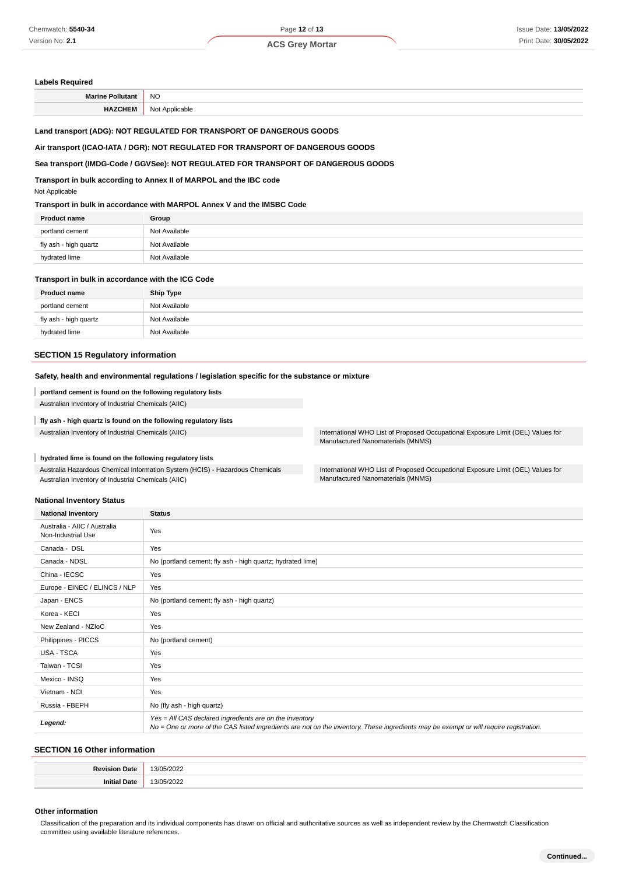#### **Labels Required**

| M <sub>2</sub> | <b>NO</b> |
|----------------|-----------|
|                | $\sim$    |
|                |           |

#### **Land transport (ADG): NOT REGULATED FOR TRANSPORT OF DANGEROUS GOODS**

#### **Air transport (ICAO-IATA / DGR): NOT REGULATED FOR TRANSPORT OF DANGEROUS GOODS**

#### **Sea transport (IMDG-Code / GGVSee): NOT REGULATED FOR TRANSPORT OF DANGEROUS GOODS**

**Transport in bulk according to Annex II of MARPOL and the IBC code**

Not Applicable

#### **Transport in bulk in accordance with MARPOL Annex V and the IMSBC Code**

| <b>Product name</b>   | Group         |
|-----------------------|---------------|
| portland cement       | Not Available |
| fly ash - high quartz | Not Available |
| hydrated lime         | Not Available |
|                       |               |

#### **Transport in bulk in accordance with the ICG Code**

| <b>Product name</b>   | <b>Ship Type</b> |
|-----------------------|------------------|
| portland cement       | Not Available    |
| fly ash - high quartz | Not Available    |
| hydrated lime         | Not Available    |

#### **SECTION 15 Regulatory information**

#### **Safety, health and environmental regulations / legislation specific for the substance or mixture**

#### I **portland cement is found on the following regulatory lists**

Australian Inventory of Industrial Chemicals (AIIC)

#### **fly ash - high quartz is found on the following regulatory lists**

Australian Inventory of Industrial Chemicals (AIIC) **International WHO List of Proposed Occupational Exposure Limit (OEL)** Values for

## **hydrated lime is found on the following regulatory lists**

Australia Hazardous Chemical Information System (HCIS) - Hazardous Chemicals Australian Inventory of Industrial Chemicals (AIIC)

#### **National Inventory Status**

| <b>National Inventory</b>                          | <b>Status</b>                                                                                                                                                                                     |
|----------------------------------------------------|---------------------------------------------------------------------------------------------------------------------------------------------------------------------------------------------------|
| Australia - AIIC / Australia<br>Non-Industrial Use | Yes                                                                                                                                                                                               |
| Canada - DSL                                       | Yes                                                                                                                                                                                               |
| Canada - NDSL                                      | No (portland cement; fly ash - high quartz; hydrated lime)                                                                                                                                        |
| China - IECSC                                      | Yes                                                                                                                                                                                               |
| Europe - EINEC / ELINCS / NLP                      | Yes                                                                                                                                                                                               |
| Japan - ENCS                                       | No (portland cement; fly ash - high quartz)                                                                                                                                                       |
| Korea - KECI                                       | Yes                                                                                                                                                                                               |
| New Zealand - NZIoC                                | Yes                                                                                                                                                                                               |
| Philippines - PICCS                                | No (portland cement)                                                                                                                                                                              |
| USA - TSCA                                         | Yes                                                                                                                                                                                               |
| Taiwan - TCSI                                      | Yes                                                                                                                                                                                               |
| Mexico - INSQ                                      | Yes                                                                                                                                                                                               |
| Vietnam - NCI                                      | Yes                                                                                                                                                                                               |
| Russia - FBEPH                                     | No (fly ash - high quartz)                                                                                                                                                                        |
| Legend:                                            | Yes = All CAS declared ingredients are on the inventory<br>No = One or more of the CAS listed ingredients are not on the inventory. These ingredients may be exempt or will require registration. |

## **SECTION 16 Other information**

| $\sim$<br>$\sim$<br>٠, |
|------------------------|
| 401                    |

#### **Other information**

Classification of the preparation and its individual components has drawn on official and authoritative sources as well as independent review by the Chemwatch Classification committee using available literature references.

Manufactured Nanomaterials (MNMS)

International WHO List of Proposed Occupational Exposure Limit (OEL) Values for Manufactured Nanomaterials (MNMS)